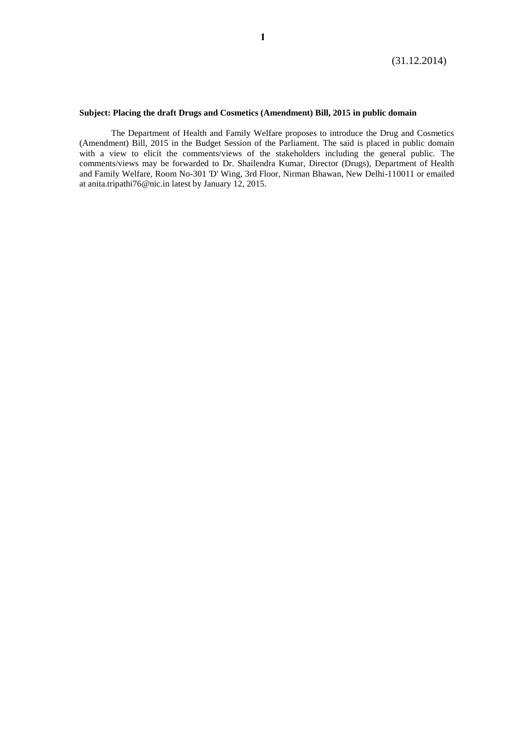## **Subject: Placing the draft Drugs and Cosmetics (Amendment) Bill, 2015 in public domain**

The Department of Health and Family Welfare proposes to introduce the Drug and Cosmetics (Amendment) Bill, 2015 in the Budget Session of the Parliament. The said is placed in public domain with a view to elicit the comments/views of the stakeholders including the general public. The comments/views may be forwarded to Dr. Shailendra Kumar, Director (Drugs), Department of Health and Family Welfare, Room No-301 'D' Wing, 3rd Floor, Nirman Bhawan, New Delhi-110011 or emailed at [anita.tripathi76@nic.in](mailto:anita.tripathi76@nic.in) latest by January 12, 2015.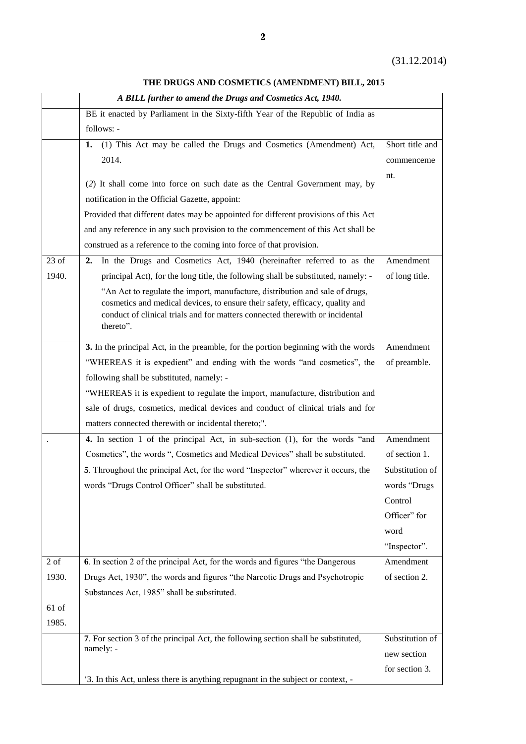**THE DRUGS AND COSMETICS (AMENDMENT) BILL, 2015**

|                  | A BILL further to amend the Drugs and Cosmetics Act, 1940.                                                                                                                                                                                                |                 |
|------------------|-----------------------------------------------------------------------------------------------------------------------------------------------------------------------------------------------------------------------------------------------------------|-----------------|
|                  | BE it enacted by Parliament in the Sixty-fifth Year of the Republic of India as                                                                                                                                                                           |                 |
|                  | follows: -                                                                                                                                                                                                                                                |                 |
|                  | (1) This Act may be called the Drugs and Cosmetics (Amendment) Act,<br>1.                                                                                                                                                                                 | Short title and |
|                  | 2014.                                                                                                                                                                                                                                                     | commenceme      |
|                  |                                                                                                                                                                                                                                                           | nt.             |
|                  | (2) It shall come into force on such date as the Central Government may, by                                                                                                                                                                               |                 |
|                  | notification in the Official Gazette, appoint:                                                                                                                                                                                                            |                 |
|                  | Provided that different dates may be appointed for different provisions of this Act                                                                                                                                                                       |                 |
|                  | and any reference in any such provision to the commencement of this Act shall be                                                                                                                                                                          |                 |
|                  | construed as a reference to the coming into force of that provision.                                                                                                                                                                                      |                 |
| $23$ of          | In the Drugs and Cosmetics Act, 1940 (hereinafter referred to as the<br>2.                                                                                                                                                                                | Amendment       |
| 1940.            | principal Act), for the long title, the following shall be substituted, namely: -                                                                                                                                                                         | of long title.  |
|                  | "An Act to regulate the import, manufacture, distribution and sale of drugs,<br>cosmetics and medical devices, to ensure their safety, efficacy, quality and<br>conduct of clinical trials and for matters connected therewith or incidental<br>thereto". |                 |
|                  | 3. In the principal Act, in the preamble, for the portion beginning with the words                                                                                                                                                                        | Amendment       |
|                  | "WHEREAS it is expedient" and ending with the words "and cosmetics", the                                                                                                                                                                                  |                 |
|                  |                                                                                                                                                                                                                                                           | of preamble.    |
|                  | following shall be substituted, namely: -                                                                                                                                                                                                                 |                 |
|                  | "WHEREAS it is expedient to regulate the import, manufacture, distribution and                                                                                                                                                                            |                 |
|                  | sale of drugs, cosmetics, medical devices and conduct of clinical trials and for                                                                                                                                                                          |                 |
|                  | matters connected therewith or incidental thereto;".                                                                                                                                                                                                      | Amendment       |
|                  | 4. In section 1 of the principal Act, in sub-section (1), for the words "and                                                                                                                                                                              |                 |
|                  | Cosmetics", the words ", Cosmetics and Medical Devices" shall be substituted.                                                                                                                                                                             | of section 1.   |
|                  | 5. Throughout the principal Act, for the word "Inspector" wherever it occurs, the                                                                                                                                                                         | Substitution of |
|                  | words "Drugs Control Officer" shall be substituted.                                                                                                                                                                                                       | words "Drugs    |
|                  |                                                                                                                                                                                                                                                           | Control         |
|                  |                                                                                                                                                                                                                                                           | Officer" for    |
|                  |                                                                                                                                                                                                                                                           | word            |
|                  |                                                                                                                                                                                                                                                           | "Inspector".    |
| $2\ \mathrm{of}$ | 6. In section 2 of the principal Act, for the words and figures "the Dangerous"                                                                                                                                                                           | Amendment       |
| 1930.            | Drugs Act, 1930", the words and figures "the Narcotic Drugs and Psychotropic                                                                                                                                                                              | of section 2.   |
|                  | Substances Act, 1985" shall be substituted.                                                                                                                                                                                                               |                 |
| $61$ of          |                                                                                                                                                                                                                                                           |                 |
| 1985.            |                                                                                                                                                                                                                                                           |                 |
|                  | 7. For section 3 of the principal Act, the following section shall be substituted,                                                                                                                                                                        | Substitution of |
|                  | namely: -                                                                                                                                                                                                                                                 | new section     |
|                  |                                                                                                                                                                                                                                                           | for section 3.  |
|                  | '3. In this Act, unless there is anything repugnant in the subject or context, -                                                                                                                                                                          |                 |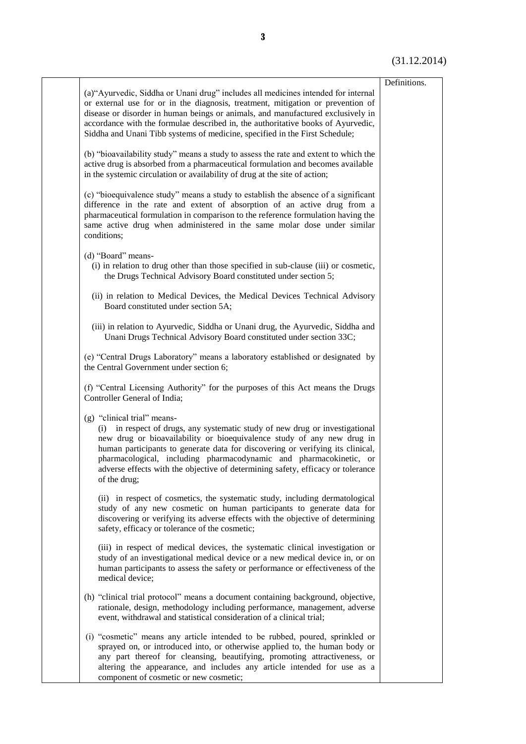(31.12.2014)

| (a) "Ayurvedic, Siddha or Unani drug" includes all medicines intended for internal<br>or external use for or in the diagnosis, treatment, mitigation or prevention of                                                                                                                                                                                                                                                                            | Definitions. |
|--------------------------------------------------------------------------------------------------------------------------------------------------------------------------------------------------------------------------------------------------------------------------------------------------------------------------------------------------------------------------------------------------------------------------------------------------|--------------|
| disease or disorder in human beings or animals, and manufactured exclusively in<br>accordance with the formulae described in, the authoritative books of Ayurvedic,<br>Siddha and Unani Tibb systems of medicine, specified in the First Schedule;                                                                                                                                                                                               |              |
| (b) "bioavailability study" means a study to assess the rate and extent to which the<br>active drug is absorbed from a pharmaceutical formulation and becomes available<br>in the systemic circulation or availability of drug at the site of action;                                                                                                                                                                                            |              |
| (c) "bioequivalence study" means a study to establish the absence of a significant<br>difference in the rate and extent of absorption of an active drug from a<br>pharmaceutical formulation in comparison to the reference formulation having the<br>same active drug when administered in the same molar dose under similar<br>conditions;                                                                                                     |              |
| (d) "Board" means-<br>(i) in relation to drug other than those specified in sub-clause (iii) or cosmetic,<br>the Drugs Technical Advisory Board constituted under section 5;                                                                                                                                                                                                                                                                     |              |
| (ii) in relation to Medical Devices, the Medical Devices Technical Advisory<br>Board constituted under section 5A;                                                                                                                                                                                                                                                                                                                               |              |
| (iii) in relation to Ayurvedic, Siddha or Unani drug, the Ayurvedic, Siddha and<br>Unani Drugs Technical Advisory Board constituted under section 33C;                                                                                                                                                                                                                                                                                           |              |
| (e) "Central Drugs Laboratory" means a laboratory established or designated by<br>the Central Government under section 6;                                                                                                                                                                                                                                                                                                                        |              |
| (f) "Central Licensing Authority" for the purposes of this Act means the Drugs<br>Controller General of India;                                                                                                                                                                                                                                                                                                                                   |              |
| (g) "clinical trial" means-<br>(i) in respect of drugs, any systematic study of new drug or investigational<br>new drug or bioavailability or bioequivalence study of any new drug in<br>human participants to generate data for discovering or verifying its clinical,<br>pharmacological, including pharmacodynamic and pharmacokinetic, or<br>adverse effects with the objective of determining safety, efficacy or tolerance<br>of the drug; |              |
| (ii) in respect of cosmetics, the systematic study, including dermatological<br>study of any new cosmetic on human participants to generate data for<br>discovering or verifying its adverse effects with the objective of determining<br>safety, efficacy or tolerance of the cosmetic;                                                                                                                                                         |              |
| (iii) in respect of medical devices, the systematic clinical investigation or<br>study of an investigational medical device or a new medical device in, or on<br>human participants to assess the safety or performance or effectiveness of the<br>medical device;                                                                                                                                                                               |              |
| (h) "clinical trial protocol" means a document containing background, objective,<br>rationale, design, methodology including performance, management, adverse<br>event, withdrawal and statistical consideration of a clinical trial;                                                                                                                                                                                                            |              |
| (i) "cosmetic" means any article intended to be rubbed, poured, sprinkled or<br>sprayed on, or introduced into, or otherwise applied to, the human body or<br>any part thereof for cleansing, beautifying, promoting attractiveness, or<br>altering the appearance, and includes any article intended for use as a                                                                                                                               |              |
| component of cosmetic or new cosmetic;                                                                                                                                                                                                                                                                                                                                                                                                           |              |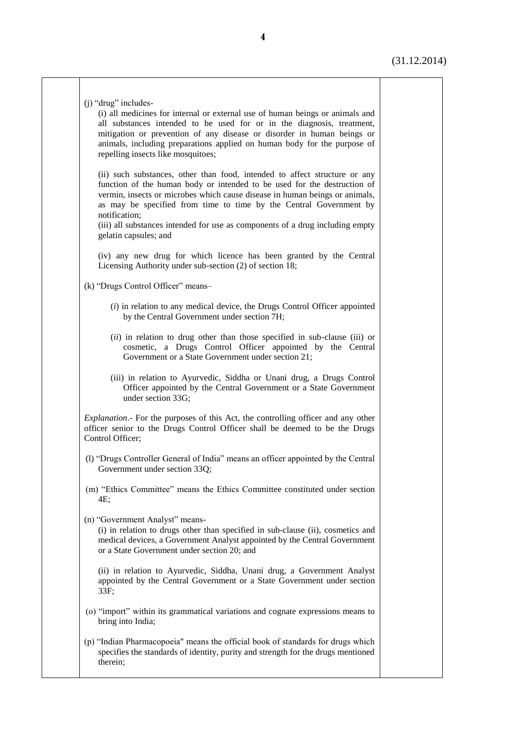Τ

| $(i)$ "drug" includes-<br>(i) all medicines for internal or external use of human beings or animals and<br>all substances intended to be used for or in the diagnosis, treatment,<br>mitigation or prevention of any disease or disorder in human beings or<br>animals, including preparations applied on human body for the purpose of<br>repelling insects like mosquitoes;                                                          |
|----------------------------------------------------------------------------------------------------------------------------------------------------------------------------------------------------------------------------------------------------------------------------------------------------------------------------------------------------------------------------------------------------------------------------------------|
| (ii) such substances, other than food, intended to affect structure or any<br>function of the human body or intended to be used for the destruction of<br>vermin, insects or microbes which cause disease in human beings or animals,<br>as may be specified from time to time by the Central Government by<br>notification;<br>(iii) all substances intended for use as components of a drug including empty<br>gelatin capsules; and |
| (iv) any new drug for which licence has been granted by the Central<br>Licensing Authority under sub-section (2) of section 18;                                                                                                                                                                                                                                                                                                        |
| (k) "Drugs Control Officer" means-                                                                                                                                                                                                                                                                                                                                                                                                     |
| $(i)$ in relation to any medical device, the Drugs Control Officer appointed<br>by the Central Government under section 7H;                                                                                                                                                                                                                                                                                                            |
| (ii) in relation to drug other than those specified in sub-clause (iii) or<br>cosmetic, a Drugs Control Officer appointed by the Central<br>Government or a State Government under section 21;                                                                                                                                                                                                                                         |
| (iii) in relation to Ayurvedic, Siddha or Unani drug, a Drugs Control<br>Officer appointed by the Central Government or a State Government<br>under section 33G;                                                                                                                                                                                                                                                                       |
| <i>Explanation</i> . For the purposes of this Act, the controlling officer and any other<br>officer senior to the Drugs Control Officer shall be deemed to be the Drugs<br>Control Officer;                                                                                                                                                                                                                                            |
| (1) "Drugs Controller General of India" means an officer appointed by the Central<br>Government under section 33Q;                                                                                                                                                                                                                                                                                                                     |
| (m) "Ethics Committee" means the Ethics Committee constituted under section<br>4E:                                                                                                                                                                                                                                                                                                                                                     |
| (n) "Government Analyst" means-<br>(i) in relation to drugs other than specified in sub-clause (ii), cosmetics and<br>medical devices, a Government Analyst appointed by the Central Government<br>or a State Government under section 20; and                                                                                                                                                                                         |
| (ii) in relation to Ayurvedic, Siddha, Unani drug, a Government Analyst<br>appointed by the Central Government or a State Government under section<br>33F;                                                                                                                                                                                                                                                                             |
| (o) "import" within its grammatical variations and cognate expressions means to<br>bring into India;                                                                                                                                                                                                                                                                                                                                   |
| (p) "Indian Pharmacopoeia" means the official book of standards for drugs which<br>specifies the standards of identity, purity and strength for the drugs mentioned<br>therein;                                                                                                                                                                                                                                                        |
|                                                                                                                                                                                                                                                                                                                                                                                                                                        |

ヿ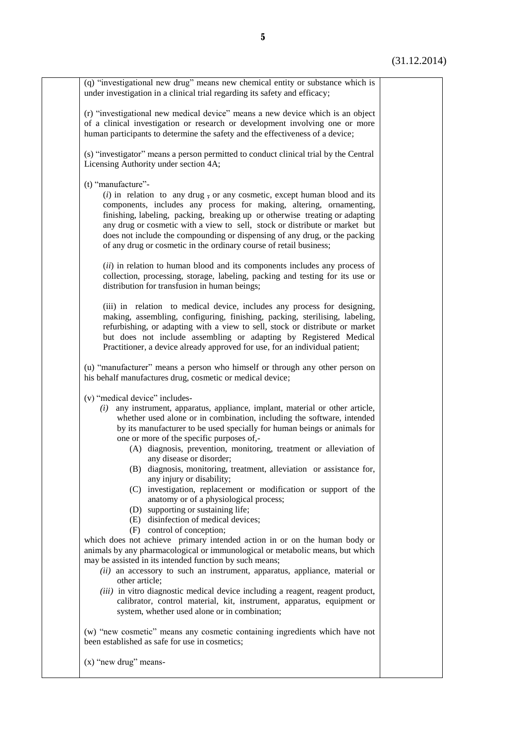| (q) "investigational new drug" means new chemical entity or substance which is<br>under investigation in a clinical trial regarding its safety and efficacy;                                                                                                                                                                                                                                                                                                                                                                                                                                                                                                                                                                                                                                                                                                                                                                                                                                                                                                                                                                                                                                                                                                                                  |  |
|-----------------------------------------------------------------------------------------------------------------------------------------------------------------------------------------------------------------------------------------------------------------------------------------------------------------------------------------------------------------------------------------------------------------------------------------------------------------------------------------------------------------------------------------------------------------------------------------------------------------------------------------------------------------------------------------------------------------------------------------------------------------------------------------------------------------------------------------------------------------------------------------------------------------------------------------------------------------------------------------------------------------------------------------------------------------------------------------------------------------------------------------------------------------------------------------------------------------------------------------------------------------------------------------------|--|
| (r) "investigational new medical device" means a new device which is an object<br>of a clinical investigation or research or development involving one or more<br>human participants to determine the safety and the effectiveness of a device;                                                                                                                                                                                                                                                                                                                                                                                                                                                                                                                                                                                                                                                                                                                                                                                                                                                                                                                                                                                                                                               |  |
| (s) "investigator" means a person permitted to conduct clinical trial by the Central<br>Licensing Authority under section 4A;                                                                                                                                                                                                                                                                                                                                                                                                                                                                                                                                                                                                                                                                                                                                                                                                                                                                                                                                                                                                                                                                                                                                                                 |  |
| (t) "manufacture"-<br>$(i)$ in relation to any drug, or any cosmetic, except human blood and its<br>components, includes any process for making, altering, ornamenting,<br>finishing, labeling, packing, breaking up or otherwise treating or adapting<br>any drug or cosmetic with a view to sell, stock or distribute or market but<br>does not include the compounding or dispensing of any drug, or the packing<br>of any drug or cosmetic in the ordinary course of retail business;<br>(ii) in relation to human blood and its components includes any process of<br>collection, processing, storage, labeling, packing and testing for its use or<br>distribution for transfusion in human beings;                                                                                                                                                                                                                                                                                                                                                                                                                                                                                                                                                                                     |  |
| (iii) in relation to medical device, includes any process for designing,<br>making, assembling, configuring, finishing, packing, sterilising, labeling,<br>refurbishing, or adapting with a view to sell, stock or distribute or market<br>but does not include assembling or adapting by Registered Medical<br>Practitioner, a device already approved for use, for an individual patient;                                                                                                                                                                                                                                                                                                                                                                                                                                                                                                                                                                                                                                                                                                                                                                                                                                                                                                   |  |
| (u) "manufacturer" means a person who himself or through any other person on<br>his behalf manufactures drug, cosmetic or medical device;                                                                                                                                                                                                                                                                                                                                                                                                                                                                                                                                                                                                                                                                                                                                                                                                                                                                                                                                                                                                                                                                                                                                                     |  |
| (v) "medical device" includes-<br>$(i)$ any instrument, apparatus, appliance, implant, material or other article,<br>whether used alone or in combination, including the software, intended<br>by its manufacturer to be used specially for human beings or animals for<br>one or more of the specific purposes of,-<br>(A) diagnosis, prevention, monitoring, treatment or alleviation of<br>any disease or disorder;<br>(B) diagnosis, monitoring, treatment, alleviation or assistance for,<br>any injury or disability;<br>(C) investigation, replacement or modification or support of the<br>anatomy or of a physiological process;<br>(D) supporting or sustaining life;<br>(E) disinfection of medical devices;<br>(F) control of conception;<br>which does not achieve primary intended action in or on the human body or<br>animals by any pharmacological or immunological or metabolic means, but which<br>may be assisted in its intended function by such means;<br>$(ii)$ an accessory to such an instrument, apparatus, appliance, material or<br>other article;<br>(iii) in vitro diagnostic medical device including a reagent, reagent product,<br>calibrator, control material, kit, instrument, apparatus, equipment or<br>system, whether used alone or in combination; |  |
| (w) "new cosmetic" means any cosmetic containing ingredients which have not<br>been established as safe for use in cosmetics;                                                                                                                                                                                                                                                                                                                                                                                                                                                                                                                                                                                                                                                                                                                                                                                                                                                                                                                                                                                                                                                                                                                                                                 |  |
| $(x)$ "new drug" means-                                                                                                                                                                                                                                                                                                                                                                                                                                                                                                                                                                                                                                                                                                                                                                                                                                                                                                                                                                                                                                                                                                                                                                                                                                                                       |  |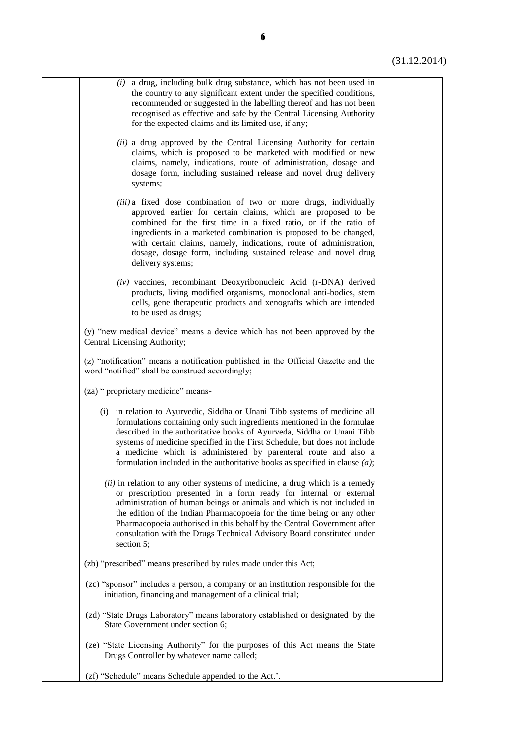| $(i)$ a drug, including bulk drug substance, which has not been used in<br>the country to any significant extent under the specified conditions,<br>recommended or suggested in the labelling thereof and has not been<br>recognised as effective and safe by the Central Licensing Authority<br>for the expected claims and its limited use, if any;                                                                                                                       |  |
|-----------------------------------------------------------------------------------------------------------------------------------------------------------------------------------------------------------------------------------------------------------------------------------------------------------------------------------------------------------------------------------------------------------------------------------------------------------------------------|--|
| (ii) a drug approved by the Central Licensing Authority for certain<br>claims, which is proposed to be marketed with modified or new<br>claims, namely, indications, route of administration, dosage and<br>dosage form, including sustained release and novel drug delivery<br>systems;                                                                                                                                                                                    |  |
| (iii) a fixed dose combination of two or more drugs, individually<br>approved earlier for certain claims, which are proposed to be<br>combined for the first time in a fixed ratio, or if the ratio of<br>ingredients in a marketed combination is proposed to be changed,<br>with certain claims, namely, indications, route of administration,<br>dosage, dosage form, including sustained release and novel drug<br>delivery systems;                                    |  |
| (iv) vaccines, recombinant Deoxyribonucleic Acid (r-DNA) derived<br>products, living modified organisms, monoclonal anti-bodies, stem<br>cells, gene therapeutic products and xenografts which are intended<br>to be used as drugs;                                                                                                                                                                                                                                         |  |
| (y) "new medical device" means a device which has not been approved by the<br>Central Licensing Authority;                                                                                                                                                                                                                                                                                                                                                                  |  |
| (z) "notification" means a notification published in the Official Gazette and the<br>word "notified" shall be construed accordingly;                                                                                                                                                                                                                                                                                                                                        |  |
| (za) " proprietary medicine" means-                                                                                                                                                                                                                                                                                                                                                                                                                                         |  |
| (i) in relation to Ayurvedic, Siddha or Unani Tibb systems of medicine all<br>formulations containing only such ingredients mentioned in the formulae<br>described in the authoritative books of Ayurveda, Siddha or Unani Tibb<br>systems of medicine specified in the First Schedule, but does not include<br>a medicine which is administered by parenteral route and also a<br>formulation included in the authoritative books as specified in clause $(a)$ ;           |  |
| $(ii)$ in relation to any other systems of medicine, a drug which is a remedy<br>or prescription presented in a form ready for internal or external<br>administration of human beings or animals and which is not included in<br>the edition of the Indian Pharmacopoeia for the time being or any other<br>Pharmacopoeia authorised in this behalf by the Central Government after<br>consultation with the Drugs Technical Advisory Board constituted under<br>section 5; |  |
| (zb) "prescribed" means prescribed by rules made under this Act;                                                                                                                                                                                                                                                                                                                                                                                                            |  |
| (zc) "sponsor" includes a person, a company or an institution responsible for the<br>initiation, financing and management of a clinical trial;                                                                                                                                                                                                                                                                                                                              |  |
| (zd) "State Drugs Laboratory" means laboratory established or designated by the<br>State Government under section 6;                                                                                                                                                                                                                                                                                                                                                        |  |
| (ze) "State Licensing Authority" for the purposes of this Act means the State<br>Drugs Controller by whatever name called;                                                                                                                                                                                                                                                                                                                                                  |  |
| (zf) "Schedule" means Schedule appended to the Act.'.                                                                                                                                                                                                                                                                                                                                                                                                                       |  |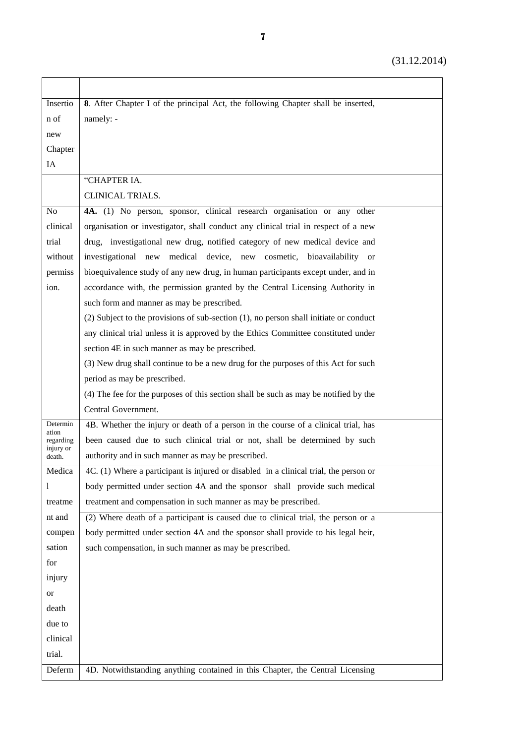| Insertio            | 8. After Chapter I of the principal Act, the following Chapter shall be inserted,          |  |
|---------------------|--------------------------------------------------------------------------------------------|--|
| n of                | namely: -                                                                                  |  |
| new                 |                                                                                            |  |
| Chapter             |                                                                                            |  |
| IA                  |                                                                                            |  |
|                     | "CHAPTER IA.                                                                               |  |
|                     | CLINICAL TRIALS.                                                                           |  |
| N <sub>o</sub>      | 4A. (1) No person, sponsor, clinical research organisation or any other                    |  |
| clinical            | organisation or investigator, shall conduct any clinical trial in respect of a new         |  |
| trial               | drug, investigational new drug, notified category of new medical device and                |  |
| without             | investigational new medical device, new cosmetic, bioavailability or                       |  |
| permiss             | bioequivalence study of any new drug, in human participants except under, and in           |  |
| ion.                | accordance with, the permission granted by the Central Licensing Authority in              |  |
|                     | such form and manner as may be prescribed.                                                 |  |
|                     | $(2)$ Subject to the provisions of sub-section $(1)$ , no person shall initiate or conduct |  |
|                     | any clinical trial unless it is approved by the Ethics Committee constituted under         |  |
|                     | section 4E in such manner as may be prescribed.                                            |  |
|                     | (3) New drug shall continue to be a new drug for the purposes of this Act for such         |  |
|                     | period as may be prescribed.                                                               |  |
|                     | (4) The fee for the purposes of this section shall be such as may be notified by the       |  |
|                     | Central Government.                                                                        |  |
| Determin            | 4B. Whether the injury or death of a person in the course of a clinical trial, has         |  |
| ation<br>regarding  | been caused due to such clinical trial or not, shall be determined by such                 |  |
| injury or<br>death. | authority and in such manner as may be prescribed.                                         |  |
| Medica              | 4C. (1) Where a participant is injured or disabled in a clinical trial, the person or      |  |
| 1                   | body permitted under section 4A and the sponsor shall provide such medical                 |  |
| treatme             | treatment and compensation in such manner as may be prescribed.                            |  |
| nt and              | (2) Where death of a participant is caused due to clinical trial, the person or a          |  |
| compen              | body permitted under section 4A and the sponsor shall provide to his legal heir,           |  |
| sation              | such compensation, in such manner as may be prescribed.                                    |  |
| for                 |                                                                                            |  |
| injury              |                                                                                            |  |
| <b>or</b>           |                                                                                            |  |
| death               |                                                                                            |  |
| due to              |                                                                                            |  |
| clinical            |                                                                                            |  |
| trial.              |                                                                                            |  |
| Deferm              | 4D. Notwithstanding anything contained in this Chapter, the Central Licensing              |  |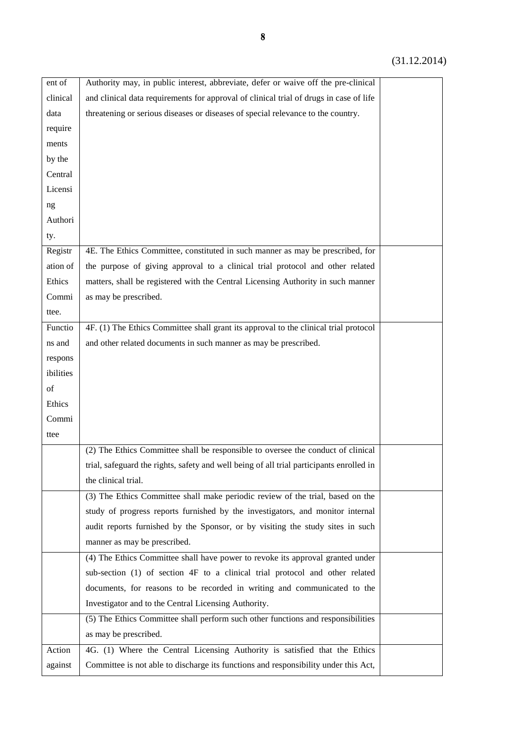| ent of    | Authority may, in public interest, abbreviate, defer or waive off the pre-clinical       |  |
|-----------|------------------------------------------------------------------------------------------|--|
| clinical  | and clinical data requirements for approval of clinical trial of drugs in case of life   |  |
| data      | threatening or serious diseases or diseases of special relevance to the country.         |  |
| require   |                                                                                          |  |
| ments     |                                                                                          |  |
| by the    |                                                                                          |  |
| Central   |                                                                                          |  |
| Licensi   |                                                                                          |  |
| ng        |                                                                                          |  |
| Authori   |                                                                                          |  |
| ty.       |                                                                                          |  |
| Registr   | 4E. The Ethics Committee, constituted in such manner as may be prescribed, for           |  |
| ation of  | the purpose of giving approval to a clinical trial protocol and other related            |  |
| Ethics    | matters, shall be registered with the Central Licensing Authority in such manner         |  |
| Commi     | as may be prescribed.                                                                    |  |
| ttee.     |                                                                                          |  |
| Functio   | 4F. (1) The Ethics Committee shall grant its approval to the clinical trial protocol     |  |
| ns and    | and other related documents in such manner as may be prescribed.                         |  |
| respons   |                                                                                          |  |
| ibilities |                                                                                          |  |
| of        |                                                                                          |  |
| Ethics    |                                                                                          |  |
| Commi     |                                                                                          |  |
| ttee      |                                                                                          |  |
|           | (2) The Ethics Committee shall be responsible to oversee the conduct of clinical         |  |
|           | trial, safeguard the rights, safety and well being of all trial participants enrolled in |  |
|           | the clinical trial.                                                                      |  |
|           | (3) The Ethics Committee shall make periodic review of the trial, based on the           |  |
|           | study of progress reports furnished by the investigators, and monitor internal           |  |
|           | audit reports furnished by the Sponsor, or by visiting the study sites in such           |  |
|           | manner as may be prescribed.                                                             |  |
|           | (4) The Ethics Committee shall have power to revoke its approval granted under           |  |
|           | sub-section (1) of section 4F to a clinical trial protocol and other related             |  |
|           | documents, for reasons to be recorded in writing and communicated to the                 |  |
|           | Investigator and to the Central Licensing Authority.                                     |  |
|           | (5) The Ethics Committee shall perform such other functions and responsibilities         |  |
|           | as may be prescribed.                                                                    |  |
| Action    | 4G. (1) Where the Central Licensing Authority is satisfied that the Ethics               |  |
| against   | Committee is not able to discharge its functions and responsibility under this Act,      |  |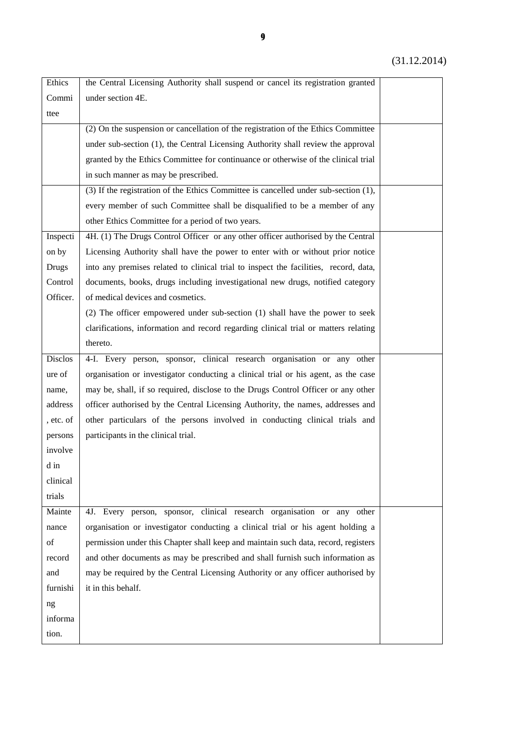| Ethics         | the Central Licensing Authority shall suspend or cancel its registration granted     |  |
|----------------|--------------------------------------------------------------------------------------|--|
| Commi          | under section 4E.                                                                    |  |
| ttee           |                                                                                      |  |
|                | (2) On the suspension or cancellation of the registration of the Ethics Committee    |  |
|                | under sub-section (1), the Central Licensing Authority shall review the approval     |  |
|                | granted by the Ethics Committee for continuance or otherwise of the clinical trial   |  |
|                | in such manner as may be prescribed.                                                 |  |
|                | (3) If the registration of the Ethics Committee is cancelled under sub-section (1),  |  |
|                | every member of such Committee shall be disqualified to be a member of any           |  |
|                | other Ethics Committee for a period of two years.                                    |  |
| Inspecti       | 4H. (1) The Drugs Control Officer or any other officer authorised by the Central     |  |
| on by          | Licensing Authority shall have the power to enter with or without prior notice       |  |
| <b>Drugs</b>   | into any premises related to clinical trial to inspect the facilities, record, data, |  |
| Control        | documents, books, drugs including investigational new drugs, notified category       |  |
| Officer.       | of medical devices and cosmetics.                                                    |  |
|                | (2) The officer empowered under sub-section (1) shall have the power to seek         |  |
|                | clarifications, information and record regarding clinical trial or matters relating  |  |
|                | thereto.                                                                             |  |
| <b>Disclos</b> | 4-I. Every person, sponsor, clinical research organisation or any other              |  |
| ure of         | organisation or investigator conducting a clinical trial or his agent, as the case   |  |
| name,          | may be, shall, if so required, disclose to the Drugs Control Officer or any other    |  |
| address        | officer authorised by the Central Licensing Authority, the names, addresses and      |  |
| , etc. of      | other particulars of the persons involved in conducting clinical trials and          |  |
| persons        | participants in the clinical trial.                                                  |  |
| involve        |                                                                                      |  |
| d in           |                                                                                      |  |
| clinical       |                                                                                      |  |
| trials         |                                                                                      |  |
| Mainte         | 4J. Every person, sponsor, clinical research organisation or any other               |  |
| nance          | organisation or investigator conducting a clinical trial or his agent holding a      |  |
| of             | permission under this Chapter shall keep and maintain such data, record, registers   |  |
| record         | and other documents as may be prescribed and shall furnish such information as       |  |
| and            | may be required by the Central Licensing Authority or any officer authorised by      |  |
| furnishi       | it in this behalf.                                                                   |  |
| ng             |                                                                                      |  |
| informa        |                                                                                      |  |
| tion.          |                                                                                      |  |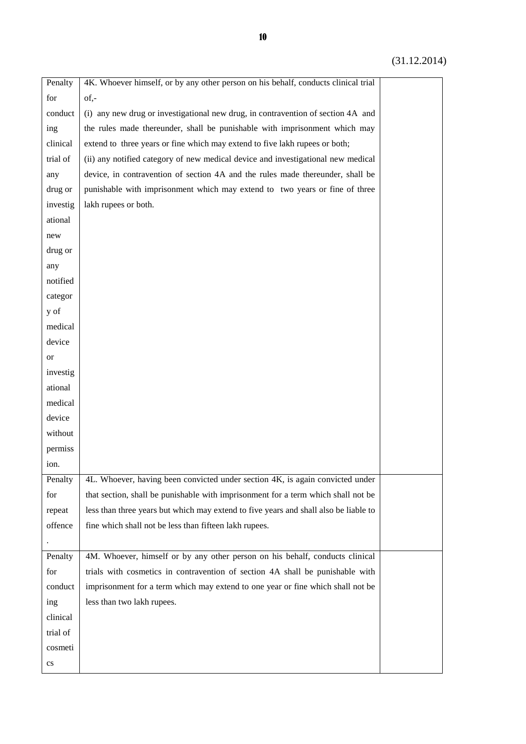| for<br>of,-<br>(i) any new drug or investigational new drug, in contravention of section 4A and<br>conduct<br>the rules made thereunder, shall be punishable with imprisonment which may<br>ing<br>clinical<br>extend to three years or fine which may extend to five lakh rupees or both;<br>trial of<br>(ii) any notified category of new medical device and investigational new medical<br>device, in contravention of section 4A and the rules made thereunder, shall be<br>any<br>punishable with imprisonment which may extend to two years or fine of three<br>drug or<br>investig<br>lakh rupees or both.<br>ational<br>new<br>drug or<br>any<br>notified<br>categor<br>y of<br>medical<br>device<br>or<br>investig<br>ational<br>medical<br>device<br>without<br>permiss<br>ion.<br>4L. Whoever, having been convicted under section 4K, is again convicted under<br>Penalty<br>that section, shall be punishable with imprisonment for a term which shall not be<br>for<br>less than three years but which may extend to five years and shall also be liable to<br>repeat<br>offence<br>fine which shall not be less than fifteen lakh rupees. |
|----------------------------------------------------------------------------------------------------------------------------------------------------------------------------------------------------------------------------------------------------------------------------------------------------------------------------------------------------------------------------------------------------------------------------------------------------------------------------------------------------------------------------------------------------------------------------------------------------------------------------------------------------------------------------------------------------------------------------------------------------------------------------------------------------------------------------------------------------------------------------------------------------------------------------------------------------------------------------------------------------------------------------------------------------------------------------------------------------------------------------------------------------------|
|                                                                                                                                                                                                                                                                                                                                                                                                                                                                                                                                                                                                                                                                                                                                                                                                                                                                                                                                                                                                                                                                                                                                                          |
|                                                                                                                                                                                                                                                                                                                                                                                                                                                                                                                                                                                                                                                                                                                                                                                                                                                                                                                                                                                                                                                                                                                                                          |
|                                                                                                                                                                                                                                                                                                                                                                                                                                                                                                                                                                                                                                                                                                                                                                                                                                                                                                                                                                                                                                                                                                                                                          |
|                                                                                                                                                                                                                                                                                                                                                                                                                                                                                                                                                                                                                                                                                                                                                                                                                                                                                                                                                                                                                                                                                                                                                          |
|                                                                                                                                                                                                                                                                                                                                                                                                                                                                                                                                                                                                                                                                                                                                                                                                                                                                                                                                                                                                                                                                                                                                                          |
|                                                                                                                                                                                                                                                                                                                                                                                                                                                                                                                                                                                                                                                                                                                                                                                                                                                                                                                                                                                                                                                                                                                                                          |
|                                                                                                                                                                                                                                                                                                                                                                                                                                                                                                                                                                                                                                                                                                                                                                                                                                                                                                                                                                                                                                                                                                                                                          |
|                                                                                                                                                                                                                                                                                                                                                                                                                                                                                                                                                                                                                                                                                                                                                                                                                                                                                                                                                                                                                                                                                                                                                          |
|                                                                                                                                                                                                                                                                                                                                                                                                                                                                                                                                                                                                                                                                                                                                                                                                                                                                                                                                                                                                                                                                                                                                                          |
|                                                                                                                                                                                                                                                                                                                                                                                                                                                                                                                                                                                                                                                                                                                                                                                                                                                                                                                                                                                                                                                                                                                                                          |
|                                                                                                                                                                                                                                                                                                                                                                                                                                                                                                                                                                                                                                                                                                                                                                                                                                                                                                                                                                                                                                                                                                                                                          |
|                                                                                                                                                                                                                                                                                                                                                                                                                                                                                                                                                                                                                                                                                                                                                                                                                                                                                                                                                                                                                                                                                                                                                          |
|                                                                                                                                                                                                                                                                                                                                                                                                                                                                                                                                                                                                                                                                                                                                                                                                                                                                                                                                                                                                                                                                                                                                                          |
|                                                                                                                                                                                                                                                                                                                                                                                                                                                                                                                                                                                                                                                                                                                                                                                                                                                                                                                                                                                                                                                                                                                                                          |
|                                                                                                                                                                                                                                                                                                                                                                                                                                                                                                                                                                                                                                                                                                                                                                                                                                                                                                                                                                                                                                                                                                                                                          |
|                                                                                                                                                                                                                                                                                                                                                                                                                                                                                                                                                                                                                                                                                                                                                                                                                                                                                                                                                                                                                                                                                                                                                          |
|                                                                                                                                                                                                                                                                                                                                                                                                                                                                                                                                                                                                                                                                                                                                                                                                                                                                                                                                                                                                                                                                                                                                                          |
|                                                                                                                                                                                                                                                                                                                                                                                                                                                                                                                                                                                                                                                                                                                                                                                                                                                                                                                                                                                                                                                                                                                                                          |
|                                                                                                                                                                                                                                                                                                                                                                                                                                                                                                                                                                                                                                                                                                                                                                                                                                                                                                                                                                                                                                                                                                                                                          |
|                                                                                                                                                                                                                                                                                                                                                                                                                                                                                                                                                                                                                                                                                                                                                                                                                                                                                                                                                                                                                                                                                                                                                          |
|                                                                                                                                                                                                                                                                                                                                                                                                                                                                                                                                                                                                                                                                                                                                                                                                                                                                                                                                                                                                                                                                                                                                                          |
|                                                                                                                                                                                                                                                                                                                                                                                                                                                                                                                                                                                                                                                                                                                                                                                                                                                                                                                                                                                                                                                                                                                                                          |
|                                                                                                                                                                                                                                                                                                                                                                                                                                                                                                                                                                                                                                                                                                                                                                                                                                                                                                                                                                                                                                                                                                                                                          |
|                                                                                                                                                                                                                                                                                                                                                                                                                                                                                                                                                                                                                                                                                                                                                                                                                                                                                                                                                                                                                                                                                                                                                          |
|                                                                                                                                                                                                                                                                                                                                                                                                                                                                                                                                                                                                                                                                                                                                                                                                                                                                                                                                                                                                                                                                                                                                                          |
|                                                                                                                                                                                                                                                                                                                                                                                                                                                                                                                                                                                                                                                                                                                                                                                                                                                                                                                                                                                                                                                                                                                                                          |
|                                                                                                                                                                                                                                                                                                                                                                                                                                                                                                                                                                                                                                                                                                                                                                                                                                                                                                                                                                                                                                                                                                                                                          |
|                                                                                                                                                                                                                                                                                                                                                                                                                                                                                                                                                                                                                                                                                                                                                                                                                                                                                                                                                                                                                                                                                                                                                          |
|                                                                                                                                                                                                                                                                                                                                                                                                                                                                                                                                                                                                                                                                                                                                                                                                                                                                                                                                                                                                                                                                                                                                                          |
|                                                                                                                                                                                                                                                                                                                                                                                                                                                                                                                                                                                                                                                                                                                                                                                                                                                                                                                                                                                                                                                                                                                                                          |
| 4M. Whoever, himself or by any other person on his behalf, conducts clinical<br>Penalty                                                                                                                                                                                                                                                                                                                                                                                                                                                                                                                                                                                                                                                                                                                                                                                                                                                                                                                                                                                                                                                                  |
| for<br>trials with cosmetics in contravention of section 4A shall be punishable with                                                                                                                                                                                                                                                                                                                                                                                                                                                                                                                                                                                                                                                                                                                                                                                                                                                                                                                                                                                                                                                                     |
| conduct<br>imprisonment for a term which may extend to one year or fine which shall not be                                                                                                                                                                                                                                                                                                                                                                                                                                                                                                                                                                                                                                                                                                                                                                                                                                                                                                                                                                                                                                                               |
| less than two lakh rupees.<br>ing                                                                                                                                                                                                                                                                                                                                                                                                                                                                                                                                                                                                                                                                                                                                                                                                                                                                                                                                                                                                                                                                                                                        |
| clinical                                                                                                                                                                                                                                                                                                                                                                                                                                                                                                                                                                                                                                                                                                                                                                                                                                                                                                                                                                                                                                                                                                                                                 |
| trial of                                                                                                                                                                                                                                                                                                                                                                                                                                                                                                                                                                                                                                                                                                                                                                                                                                                                                                                                                                                                                                                                                                                                                 |
| cosmeti                                                                                                                                                                                                                                                                                                                                                                                                                                                                                                                                                                                                                                                                                                                                                                                                                                                                                                                                                                                                                                                                                                                                                  |
| cs                                                                                                                                                                                                                                                                                                                                                                                                                                                                                                                                                                                                                                                                                                                                                                                                                                                                                                                                                                                                                                                                                                                                                       |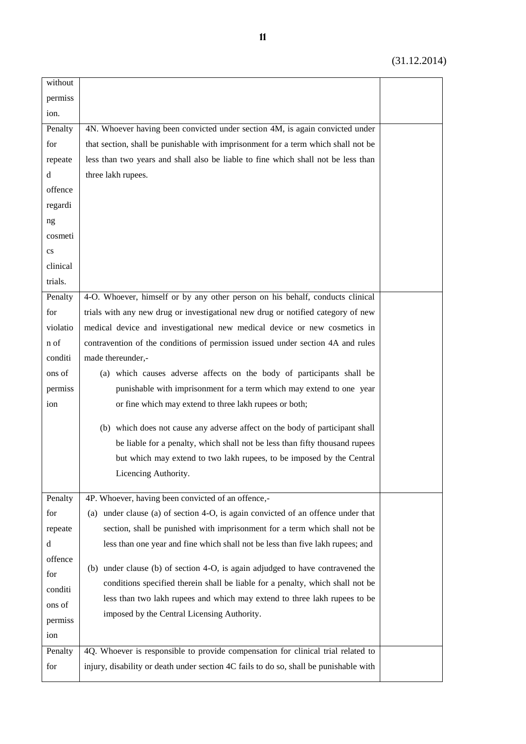| without                |                                                                                       |  |
|------------------------|---------------------------------------------------------------------------------------|--|
| permiss                |                                                                                       |  |
| ion.                   |                                                                                       |  |
| Penalty                | 4N. Whoever having been convicted under section 4M, is again convicted under          |  |
| for                    | that section, shall be punishable with imprisonment for a term which shall not be     |  |
| repeate                | less than two years and shall also be liable to fine which shall not be less than     |  |
| d                      | three lakh rupees.                                                                    |  |
| offence                |                                                                                       |  |
| regardi                |                                                                                       |  |
| ng                     |                                                                                       |  |
| cosmeti                |                                                                                       |  |
| $\mathbf{c}\mathbf{s}$ |                                                                                       |  |
| clinical               |                                                                                       |  |
| trials.                |                                                                                       |  |
| Penalty                | 4-O. Whoever, himself or by any other person on his behalf, conducts clinical         |  |
| for                    | trials with any new drug or investigational new drug or notified category of new      |  |
| violatio               | medical device and investigational new medical device or new cosmetics in             |  |
| n of                   | contravention of the conditions of permission issued under section 4A and rules       |  |
| conditi                | made thereunder,-                                                                     |  |
| ons of                 | (a) which causes adverse affects on the body of participants shall be                 |  |
| permiss                | punishable with imprisonment for a term which may extend to one year                  |  |
| ion                    | or fine which may extend to three lakh rupees or both;                                |  |
|                        | (b) which does not cause any adverse affect on the body of participant shall          |  |
|                        | be liable for a penalty, which shall not be less than fifty thousand rupees           |  |
|                        | but which may extend to two lakh rupees, to be imposed by the Central                 |  |
|                        | Licencing Authority.                                                                  |  |
|                        |                                                                                       |  |
| Penalty                | 4P. Whoever, having been convicted of an offence,-                                    |  |
| for                    | (a) under clause (a) of section 4-O, is again convicted of an offence under that      |  |
| repeate                | section, shall be punished with imprisonment for a term which shall not be            |  |
| d                      | less than one year and fine which shall not be less than five lakh rupees; and        |  |
| offence                | (b) under clause (b) of section 4-O, is again adjudged to have contravened the        |  |
| for                    | conditions specified therein shall be liable for a penalty, which shall not be        |  |
| conditi                | less than two lakh rupees and which may extend to three lakh rupees to be             |  |
| ons of                 | imposed by the Central Licensing Authority.                                           |  |
| permiss                |                                                                                       |  |
| ion                    |                                                                                       |  |
| Penalty                | 4Q. Whoever is responsible to provide compensation for clinical trial related to      |  |
| for                    | injury, disability or death under section 4C fails to do so, shall be punishable with |  |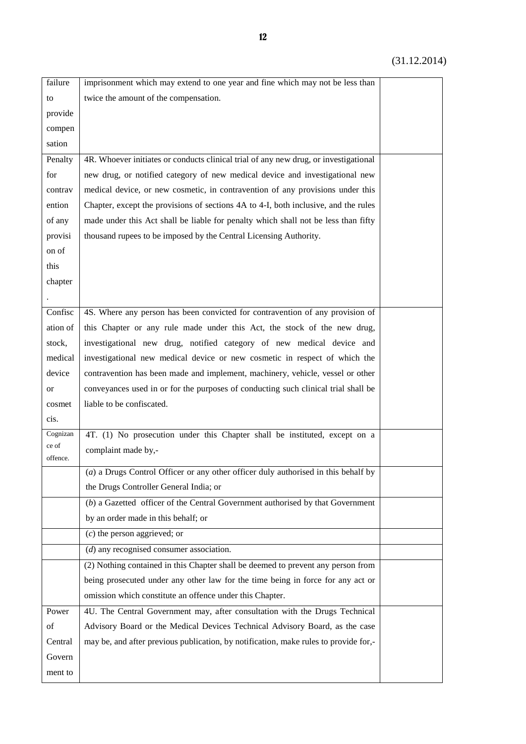| failure       | imprisonment which may extend to one year and fine which may not be less than        |  |
|---------------|--------------------------------------------------------------------------------------|--|
| to            | twice the amount of the compensation.                                                |  |
| provide       |                                                                                      |  |
| compen        |                                                                                      |  |
| sation        |                                                                                      |  |
| Penalty       | 4R. Whoever initiates or conducts clinical trial of any new drug, or investigational |  |
| for           | new drug, or notified category of new medical device and investigational new         |  |
| contrav       | medical device, or new cosmetic, in contravention of any provisions under this       |  |
| ention        | Chapter, except the provisions of sections 4A to 4-I, both inclusive, and the rules  |  |
| of any        | made under this Act shall be liable for penalty which shall not be less than fifty   |  |
| provisi       | thousand rupees to be imposed by the Central Licensing Authority.                    |  |
| on of         |                                                                                      |  |
| this          |                                                                                      |  |
| chapter       |                                                                                      |  |
|               |                                                                                      |  |
| Confisc       | 4S. Where any person has been convicted for contravention of any provision of        |  |
| ation of      | this Chapter or any rule made under this Act, the stock of the new drug,             |  |
| stock,        | investigational new drug, notified category of new medical device and                |  |
| medical       | investigational new medical device or new cosmetic in respect of which the           |  |
| device        | contravention has been made and implement, machinery, vehicle, vessel or other       |  |
| <sub>or</sub> | conveyances used in or for the purposes of conducting such clinical trial shall be   |  |
| cosmet        | liable to be confiscated.                                                            |  |
| cis.          |                                                                                      |  |
| Cognizan      | 4T. (1) No prosecution under this Chapter shall be instituted, except on a           |  |
| ce of         | complaint made by,-                                                                  |  |
| offence.      |                                                                                      |  |
|               | (a) a Drugs Control Officer or any other officer duly authorised in this behalf by   |  |
|               | the Drugs Controller General India; or                                               |  |
|               | $(b)$ a Gazetted officer of the Central Government authorised by that Government     |  |
|               | by an order made in this behalf; or                                                  |  |
|               | $(c)$ the person aggrieved; or                                                       |  |
|               | $(d)$ any recognised consumer association.                                           |  |
|               | (2) Nothing contained in this Chapter shall be deemed to prevent any person from     |  |
|               | being prosecuted under any other law for the time being in force for any act or      |  |
|               | omission which constitute an offence under this Chapter.                             |  |
| Power         | 4U. The Central Government may, after consultation with the Drugs Technical          |  |
| of            | Advisory Board or the Medical Devices Technical Advisory Board, as the case          |  |
| Central       | may be, and after previous publication, by notification, make rules to provide for,- |  |
| Govern        |                                                                                      |  |
| ment to       |                                                                                      |  |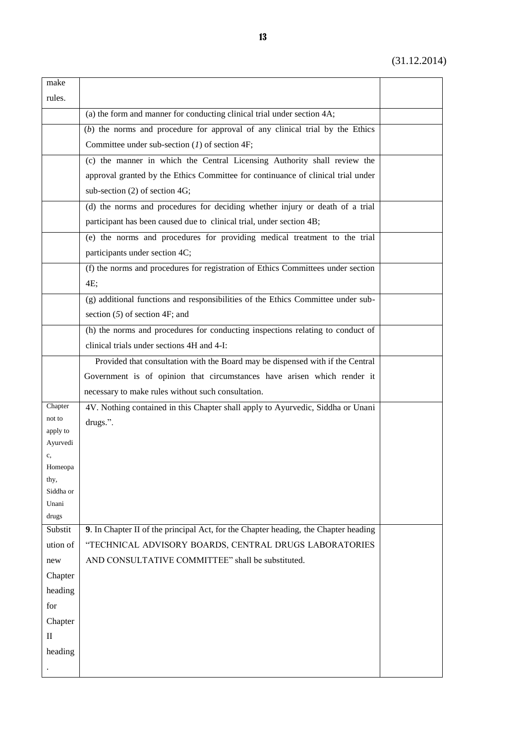| make                 |                                                                                     |  |
|----------------------|-------------------------------------------------------------------------------------|--|
| rules.               |                                                                                     |  |
|                      | (a) the form and manner for conducting clinical trial under section 4A;             |  |
|                      | $(b)$ the norms and procedure for approval of any clinical trial by the Ethics      |  |
|                      | Committee under sub-section $(I)$ of section 4F;                                    |  |
|                      | (c) the manner in which the Central Licensing Authority shall review the            |  |
|                      | approval granted by the Ethics Committee for continuance of clinical trial under    |  |
|                      | sub-section (2) of section 4G;                                                      |  |
|                      | (d) the norms and procedures for deciding whether injury or death of a trial        |  |
|                      | participant has been caused due to clinical trial, under section 4B;                |  |
|                      | (e) the norms and procedures for providing medical treatment to the trial           |  |
|                      | participants under section 4C;                                                      |  |
|                      | (f) the norms and procedures for registration of Ethics Committees under section    |  |
|                      | 4E;                                                                                 |  |
|                      | (g) additional functions and responsibilities of the Ethics Committee under sub-    |  |
|                      | section $(5)$ of section 4F; and                                                    |  |
|                      | (h) the norms and procedures for conducting inspections relating to conduct of      |  |
|                      | clinical trials under sections 4H and 4-I:                                          |  |
|                      | Provided that consultation with the Board may be dispensed with if the Central      |  |
|                      | Government is of opinion that circumstances have arisen which render it             |  |
|                      | necessary to make rules without such consultation.                                  |  |
| Chapter              | 4V. Nothing contained in this Chapter shall apply to Ayurvedic, Siddha or Unani     |  |
| not to               | drugs.".                                                                            |  |
| apply to<br>Ayurvedi |                                                                                     |  |
| c,                   |                                                                                     |  |
| Homeopa              |                                                                                     |  |
| thy,                 |                                                                                     |  |
| Siddha or<br>Unani   |                                                                                     |  |
| drugs                |                                                                                     |  |
| Substit              | 9. In Chapter II of the principal Act, for the Chapter heading, the Chapter heading |  |
| ution of             | "TECHNICAL ADVISORY BOARDS, CENTRAL DRUGS LABORATORIES                              |  |
| new                  | AND CONSULTATIVE COMMITTEE" shall be substituted.                                   |  |
| Chapter              |                                                                                     |  |
| heading              |                                                                                     |  |
| for                  |                                                                                     |  |
| Chapter              |                                                                                     |  |
| $\mathbf{I}$         |                                                                                     |  |
| heading              |                                                                                     |  |
|                      |                                                                                     |  |
|                      |                                                                                     |  |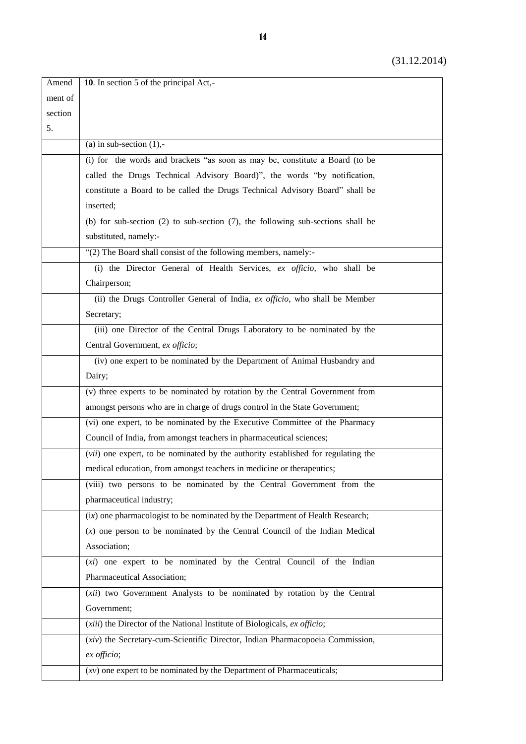| Amend   | 10. In section 5 of the principal Act,-                                              |  |
|---------|--------------------------------------------------------------------------------------|--|
| ment of |                                                                                      |  |
| section |                                                                                      |  |
| 5.      |                                                                                      |  |
|         | (a) in sub-section $(1)$ ,-                                                          |  |
|         | (i) for the words and brackets "as soon as may be, constitute a Board (to be         |  |
|         | called the Drugs Technical Advisory Board)", the words "by notification,             |  |
|         | constitute a Board to be called the Drugs Technical Advisory Board" shall be         |  |
|         | inserted;                                                                            |  |
|         | (b) for sub-section $(2)$ to sub-section $(7)$ , the following sub-sections shall be |  |
|         | substituted, namely:-                                                                |  |
|         | "(2) The Board shall consist of the following members, namely:-                      |  |
|         | (i) the Director General of Health Services, ex officio, who shall be                |  |
|         | Chairperson;                                                                         |  |
|         | (ii) the Drugs Controller General of India, ex officio, who shall be Member          |  |
|         | Secretary;                                                                           |  |
|         | (iii) one Director of the Central Drugs Laboratory to be nominated by the            |  |
|         | Central Government, ex officio;                                                      |  |
|         | (iv) one expert to be nominated by the Department of Animal Husbandry and            |  |
|         | Dairy;                                                                               |  |
|         | (v) three experts to be nominated by rotation by the Central Government from         |  |
|         | amongst persons who are in charge of drugs control in the State Government;          |  |
|         | (vi) one expert, to be nominated by the Executive Committee of the Pharmacy          |  |
|         | Council of India, from amongst teachers in pharmaceutical sciences;                  |  |
|         | (vii) one expert, to be nominated by the authority established for regulating the    |  |
|         | medical education, from amongst teachers in medicine or therapeutics;                |  |
|         | (viii) two persons to be nominated by the Central Government from the                |  |
|         | pharmaceutical industry;                                                             |  |
|         | $(ix)$ one pharmacologist to be nominated by the Department of Health Research;      |  |
|         | $(x)$ one person to be nominated by the Central Council of the Indian Medical        |  |
|         | Association;                                                                         |  |
|         | (xi) one expert to be nominated by the Central Council of the Indian                 |  |
|         | Pharmaceutical Association;                                                          |  |
|         | (xii) two Government Analysts to be nominated by rotation by the Central             |  |
|         | Government;                                                                          |  |
|         | (xiii) the Director of the National Institute of Biologicals, ex officio;            |  |
|         | (xiv) the Secretary-cum-Scientific Director, Indian Pharmacopoeia Commission,        |  |
|         | ex officio;                                                                          |  |
|         | $(xv)$ one expert to be nominated by the Department of Pharmaceuticals;              |  |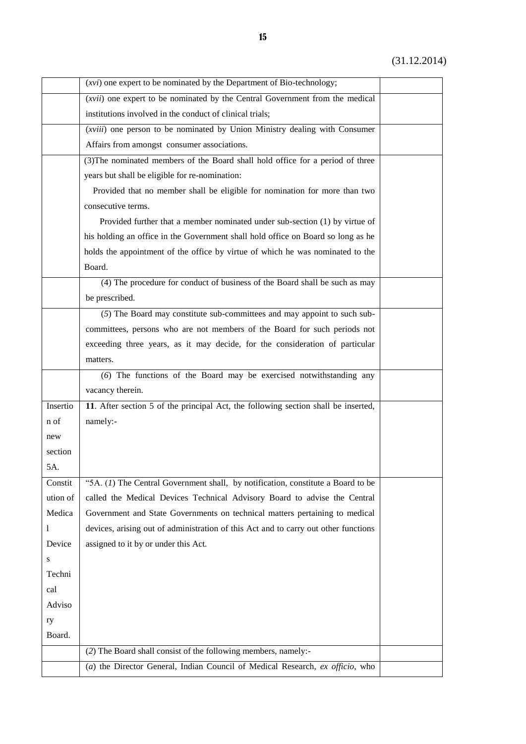|          | (xvi) one expert to be nominated by the Department of Bio-technology;               |  |
|----------|-------------------------------------------------------------------------------------|--|
|          | (xvii) one expert to be nominated by the Central Government from the medical        |  |
|          | institutions involved in the conduct of clinical trials;                            |  |
|          | ( <i>xviii</i> ) one person to be nominated by Union Ministry dealing with Consumer |  |
|          | Affairs from amongst consumer associations.                                         |  |
|          | (3) The nominated members of the Board shall hold office for a period of three      |  |
|          | years but shall be eligible for re-nomination:                                      |  |
|          | Provided that no member shall be eligible for nomination for more than two          |  |
|          | consecutive terms.                                                                  |  |
|          | Provided further that a member nominated under sub-section (1) by virtue of         |  |
|          | his holding an office in the Government shall hold office on Board so long as he    |  |
|          | holds the appointment of the office by virtue of which he was nominated to the      |  |
|          | Board.                                                                              |  |
|          | (4) The procedure for conduct of business of the Board shall be such as may         |  |
|          | be prescribed.                                                                      |  |
|          | (5) The Board may constitute sub-committees and may appoint to such sub-            |  |
|          | committees, persons who are not members of the Board for such periods not           |  |
|          | exceeding three years, as it may decide, for the consideration of particular        |  |
|          | matters.                                                                            |  |
|          | (6) The functions of the Board may be exercised notwithstanding any                 |  |
|          | vacancy therein.                                                                    |  |
| Insertio | 11. After section 5 of the principal Act, the following section shall be inserted,  |  |
| n of     | namely:-                                                                            |  |
| new      |                                                                                     |  |
| section  |                                                                                     |  |
| 5A.      |                                                                                     |  |
| Constit  | "5A. $(1)$ The Central Government shall, by notification, constitute a Board to be  |  |
| ution of | called the Medical Devices Technical Advisory Board to advise the Central           |  |
| Medica   | Government and State Governments on technical matters pertaining to medical         |  |
| 1        | devices, arising out of administration of this Act and to carry out other functions |  |
| Device   | assigned to it by or under this Act.                                                |  |
| S        |                                                                                     |  |
| Techni   |                                                                                     |  |
| cal      |                                                                                     |  |
| Adviso   |                                                                                     |  |
| ry       |                                                                                     |  |
| Board.   |                                                                                     |  |
|          | (2) The Board shall consist of the following members, namely:-                      |  |
|          | (a) the Director General, Indian Council of Medical Research, ex officio, who       |  |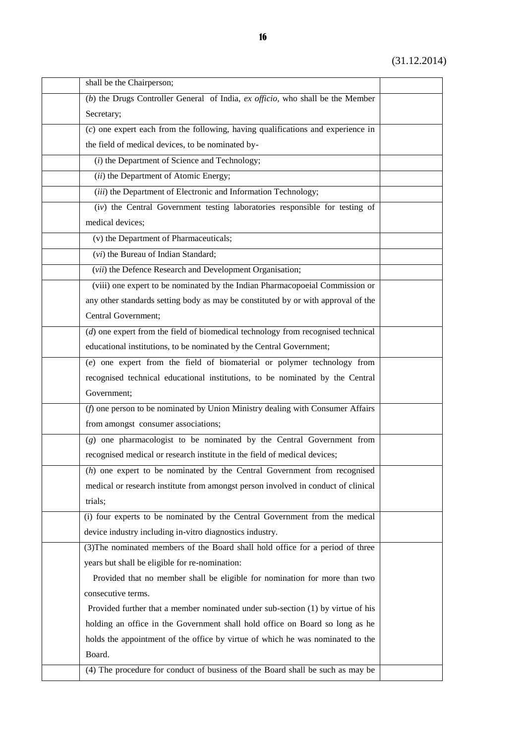| shall be the Chairperson;                                                          |  |
|------------------------------------------------------------------------------------|--|
| (b) the Drugs Controller General of India, $ex$ officio, who shall be the Member   |  |
| Secretary;                                                                         |  |
| $(c)$ one expert each from the following, having qualifications and experience in  |  |
| the field of medical devices, to be nominated by-                                  |  |
| (i) the Department of Science and Technology;                                      |  |
| (ii) the Department of Atomic Energy;                                              |  |
| (iii) the Department of Electronic and Information Technology;                     |  |
| (iv) the Central Government testing laboratories responsible for testing of        |  |
| medical devices;                                                                   |  |
| (v) the Department of Pharmaceuticals;                                             |  |
| (vi) the Bureau of Indian Standard;                                                |  |
| (vii) the Defence Research and Development Organisation;                           |  |
| (viii) one expert to be nominated by the Indian Pharmacopoeial Commission or       |  |
| any other standards setting body as may be constituted by or with approval of the  |  |
| Central Government;                                                                |  |
| $(d)$ one expert from the field of biomedical technology from recognised technical |  |
| educational institutions, to be nominated by the Central Government;               |  |
| (e) one expert from the field of biomaterial or polymer technology from            |  |
| recognised technical educational institutions, to be nominated by the Central      |  |
| Government;                                                                        |  |
| (f) one person to be nominated by Union Ministry dealing with Consumer Affairs     |  |
| from amongst consumer associations;                                                |  |
| (g) one pharmacologist to be nominated by the Central Government from              |  |
| recognised medical or research institute in the field of medical devices;          |  |
| $(h)$ one expert to be nominated by the Central Government from recognised         |  |
| medical or research institute from amongst person involved in conduct of clinical  |  |
| trials;                                                                            |  |
| (i) four experts to be nominated by the Central Government from the medical        |  |
| device industry including in-vitro diagnostics industry.                           |  |
| (3) The nominated members of the Board shall hold office for a period of three     |  |
| years but shall be eligible for re-nomination:                                     |  |
| Provided that no member shall be eligible for nomination for more than two         |  |
| consecutive terms.                                                                 |  |
| Provided further that a member nominated under sub-section $(1)$ by virtue of his  |  |
| holding an office in the Government shall hold office on Board so long as he       |  |
| holds the appointment of the office by virtue of which he was nominated to the     |  |
| Board.                                                                             |  |
| (4) The procedure for conduct of business of the Board shall be such as may be     |  |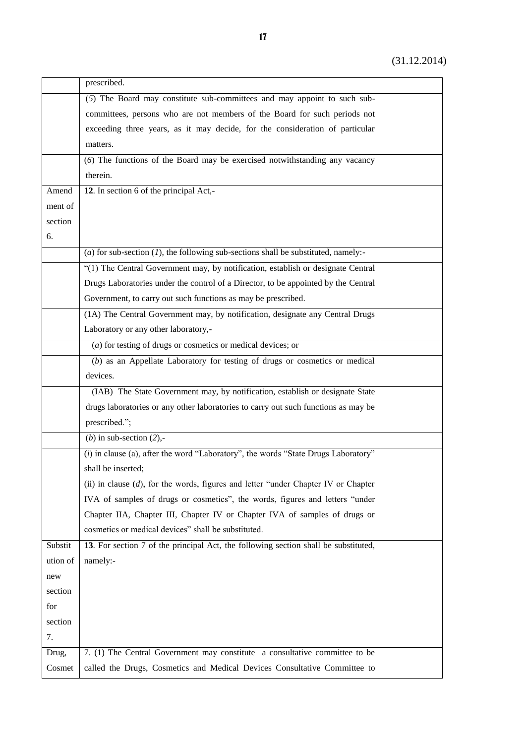|          | prescribed.                                                                            |  |
|----------|----------------------------------------------------------------------------------------|--|
|          | (5) The Board may constitute sub-committees and may appoint to such sub-               |  |
|          | committees, persons who are not members of the Board for such periods not              |  |
|          | exceeding three years, as it may decide, for the consideration of particular           |  |
|          | matters.                                                                               |  |
|          | (6) The functions of the Board may be exercised notwithstanding any vacancy            |  |
|          | therein.                                                                               |  |
| Amend    | 12. In section 6 of the principal Act,-                                                |  |
| ment of  |                                                                                        |  |
| section  |                                                                                        |  |
| 6.       |                                                                                        |  |
|          | (a) for sub-section $(I)$ , the following sub-sections shall be substituted, namely:-  |  |
|          | "(1) The Central Government may, by notification, establish or designate Central       |  |
|          | Drugs Laboratories under the control of a Director, to be appointed by the Central     |  |
|          | Government, to carry out such functions as may be prescribed.                          |  |
|          | (1A) The Central Government may, by notification, designate any Central Drugs          |  |
|          | Laboratory or any other laboratory,-                                                   |  |
|          | $(a)$ for testing of drugs or cosmetics or medical devices; or                         |  |
|          | (b) as an Appellate Laboratory for testing of drugs or cosmetics or medical            |  |
|          | devices.                                                                               |  |
|          | (IAB) The State Government may, by notification, establish or designate State          |  |
|          | drugs laboratories or any other laboratories to carry out such functions as may be     |  |
|          | prescribed.";                                                                          |  |
|          | (b) in sub-section $(2)$ ,-                                                            |  |
|          | (i) in clause (a), after the word "Laboratory", the words "State Drugs Laboratory"     |  |
|          | shall be inserted;                                                                     |  |
|          | (ii) in clause $(d)$ , for the words, figures and letter "under Chapter IV or Chapter" |  |
|          | IVA of samples of drugs or cosmetics", the words, figures and letters "under           |  |
|          | Chapter IIA, Chapter III, Chapter IV or Chapter IVA of samples of drugs or             |  |
|          | cosmetics or medical devices" shall be substituted.                                    |  |
| Substit  | 13. For section 7 of the principal Act, the following section shall be substituted,    |  |
| ution of | namely:-                                                                               |  |
| new      |                                                                                        |  |
| section  |                                                                                        |  |
| for      |                                                                                        |  |
| section  |                                                                                        |  |
| 7.       |                                                                                        |  |
| Drug,    | 7. (1) The Central Government may constitute a consultative committee to be            |  |
| Cosmet   | called the Drugs, Cosmetics and Medical Devices Consultative Committee to              |  |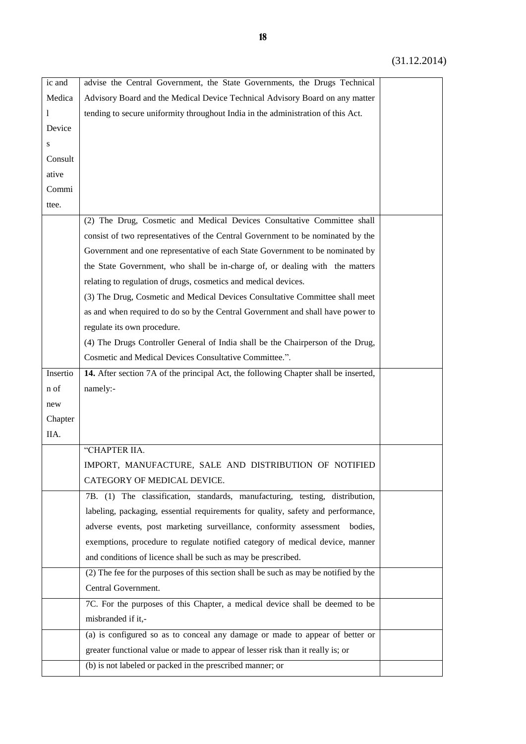| ic and   | advise the Central Government, the State Governments, the Drugs Technical            |  |
|----------|--------------------------------------------------------------------------------------|--|
| Medica   | Advisory Board and the Medical Device Technical Advisory Board on any matter         |  |
| 1        | tending to secure uniformity throughout India in the administration of this Act.     |  |
| Device   |                                                                                      |  |
| S        |                                                                                      |  |
| Consult  |                                                                                      |  |
| ative    |                                                                                      |  |
| Commi    |                                                                                      |  |
| ttee.    |                                                                                      |  |
|          | (2) The Drug, Cosmetic and Medical Devices Consultative Committee shall              |  |
|          | consist of two representatives of the Central Government to be nominated by the      |  |
|          | Government and one representative of each State Government to be nominated by        |  |
|          | the State Government, who shall be in-charge of, or dealing with the matters         |  |
|          | relating to regulation of drugs, cosmetics and medical devices.                      |  |
|          | (3) The Drug, Cosmetic and Medical Devices Consultative Committee shall meet         |  |
|          | as and when required to do so by the Central Government and shall have power to      |  |
|          | regulate its own procedure.                                                          |  |
|          | (4) The Drugs Controller General of India shall be the Chairperson of the Drug,      |  |
|          | Cosmetic and Medical Devices Consultative Committee.".                               |  |
| Insertio | 14. After section 7A of the principal Act, the following Chapter shall be inserted,  |  |
| n of     | namely:-                                                                             |  |
| new      |                                                                                      |  |
| Chapter  |                                                                                      |  |
| IIA.     |                                                                                      |  |
|          | "CHAPTER IIA.                                                                        |  |
|          | IMPORT, MANUFACTURE, SALE AND DISTRIBUTION OF NOTIFIED                               |  |
|          | CATEGORY OF MEDICAL DEVICE.                                                          |  |
|          | 7B. (1) The classification, standards, manufacturing, testing, distribution,         |  |
|          | labeling, packaging, essential requirements for quality, safety and performance,     |  |
|          | adverse events, post marketing surveillance, conformity assessment<br>bodies.        |  |
|          | exemptions, procedure to regulate notified category of medical device, manner        |  |
|          | and conditions of licence shall be such as may be prescribed.                        |  |
|          | (2) The fee for the purposes of this section shall be such as may be notified by the |  |
|          | Central Government.                                                                  |  |
|          | 7C. For the purposes of this Chapter, a medical device shall be deemed to be         |  |
|          | misbranded if it,-                                                                   |  |
|          | (a) is configured so as to conceal any damage or made to appear of better or         |  |
|          | greater functional value or made to appear of lesser risk than it really is; or      |  |
|          | (b) is not labeled or packed in the prescribed manner; or                            |  |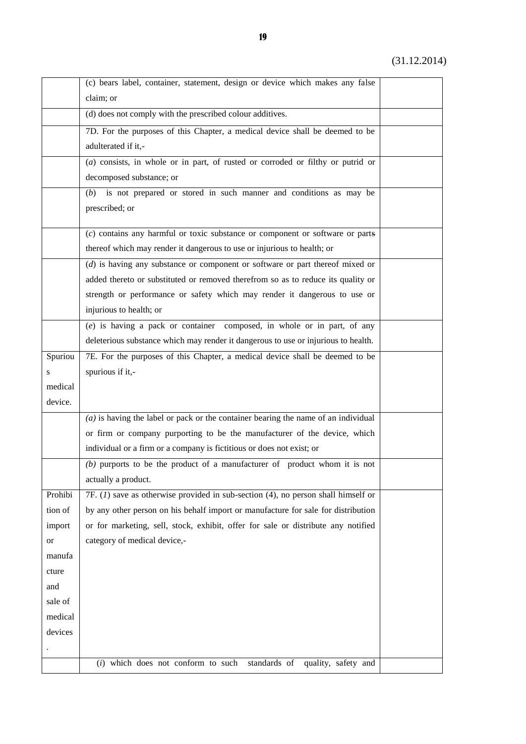|         | (c) bears label, container, statement, design or device which makes any false        |  |
|---------|--------------------------------------------------------------------------------------|--|
|         | claim; or                                                                            |  |
|         | (d) does not comply with the prescribed colour additives.                            |  |
|         | 7D. For the purposes of this Chapter, a medical device shall be deemed to be         |  |
|         | adulterated if it,-                                                                  |  |
|         | $(a)$ consists, in whole or in part, of rusted or corroded or filthy or putrid or    |  |
|         |                                                                                      |  |
|         | decomposed substance; or                                                             |  |
|         | is not prepared or stored in such manner and conditions as may be<br>(b)             |  |
|         | prescribed; or                                                                       |  |
|         | $(c)$ contains any harmful or toxic substance or component or software or parts      |  |
|         | thereof which may render it dangerous to use or injurious to health; or              |  |
|         | $(d)$ is having any substance or component or software or part thereof mixed or      |  |
|         | added thereto or substituted or removed therefrom so as to reduce its quality or     |  |
|         | strength or performance or safety which may render it dangerous to use or            |  |
|         | injurious to health; or                                                              |  |
|         | $(e)$ is having a pack or container composed, in whole or in part, of any            |  |
|         | deleterious substance which may render it dangerous to use or injurious to health.   |  |
| Spuriou | 7E. For the purposes of this Chapter, a medical device shall be deemed to be         |  |
| S       | spurious if it,-                                                                     |  |
| medical |                                                                                      |  |
| device. |                                                                                      |  |
|         | $(a)$ is having the label or pack or the container bearing the name of an individual |  |
|         | or firm or company purporting to be the manufacturer of the device, which            |  |
|         | individual or a firm or a company is fictitious or does not exist; or                |  |
|         | $(b)$ purports to be the product of a manufacturer of product whom it is not         |  |
|         | actually a product.                                                                  |  |
| Prohibi | $7F. (1)$ save as otherwise provided in sub-section (4), no person shall himself or  |  |
| tion of | by any other person on his behalf import or manufacture for sale for distribution    |  |
| import  | or for marketing, sell, stock, exhibit, offer for sale or distribute any notified    |  |
| or      | category of medical device,-                                                         |  |
| manufa  |                                                                                      |  |
| cture   |                                                                                      |  |
| and     |                                                                                      |  |
| sale of |                                                                                      |  |
| medical |                                                                                      |  |
| devices |                                                                                      |  |
|         |                                                                                      |  |
|         | $(i)$ which does not conform to such<br>standards of<br>quality, safety and          |  |
|         |                                                                                      |  |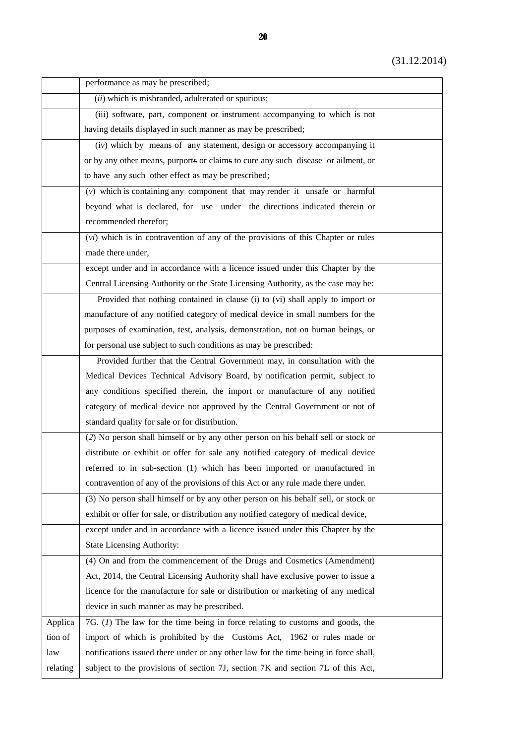|          | performance as may be prescribed;                                                    |  |
|----------|--------------------------------------------------------------------------------------|--|
|          | (ii) which is misbranded, adulterated or spurious;                                   |  |
|          | (iii) software, part, component or instrument accompanying to which is not           |  |
|          | having details displayed in such manner as may be prescribed;                        |  |
|          | (iv) which by means of any statement, design or accessory accompanying it            |  |
|          | or by any other means, purports or claims to cure any such disease or ailment, or    |  |
|          | to have any such other effect as may be prescribed;                                  |  |
|          | $(v)$ which is containing any component that may render it unsafe or harmful         |  |
|          | beyond what is declared, for use under the directions indicated therein or           |  |
|          | recommended therefor;                                                                |  |
|          | (vi) which is in contravention of any of the provisions of this Chapter or rules     |  |
|          | made there under,                                                                    |  |
|          | except under and in accordance with a licence issued under this Chapter by the       |  |
|          | Central Licensing Authority or the State Licensing Authority, as the case may be:    |  |
|          | Provided that nothing contained in clause (i) to (vi) shall apply to import or       |  |
|          | manufacture of any notified category of medical device in small numbers for the      |  |
|          | purposes of examination, test, analysis, demonstration, not on human beings, or      |  |
|          | for personal use subject to such conditions as may be prescribed:                    |  |
|          | Provided further that the Central Government may, in consultation with the           |  |
|          | Medical Devices Technical Advisory Board, by notification permit, subject to         |  |
|          | any conditions specified therein, the import or manufacture of any notified          |  |
|          | category of medical device not approved by the Central Government or not of          |  |
|          | standard quality for sale or for distribution.                                       |  |
|          | (2) No person shall himself or by any other person on his behalf sell or stock or    |  |
|          | distribute or exhibit or offer for sale any notified category of medical device      |  |
|          | referred to in sub-section (1) which has been imported or manufactured in            |  |
|          | contravention of any of the provisions of this Act or any rule made there under.     |  |
|          | (3) No person shall himself or by any other person on his behalf sell, or stock or   |  |
|          | exhibit or offer for sale, or distribution any notified category of medical device,  |  |
|          | except under and in accordance with a licence issued under this Chapter by the       |  |
|          | <b>State Licensing Authority:</b>                                                    |  |
|          | (4) On and from the commencement of the Drugs and Cosmetics (Amendment)              |  |
|          | Act, 2014, the Central Licensing Authority shall have exclusive power to issue a     |  |
|          | licence for the manufacture for sale or distribution or marketing of any medical     |  |
|          | device in such manner as may be prescribed.                                          |  |
| Applica  | 7G. $(I)$ The law for the time being in force relating to customs and goods, the     |  |
| tion of  | import of which is prohibited by the Customs Act, 1962 or rules made or              |  |
| law      | notifications issued there under or any other law for the time being in force shall, |  |
| relating | subject to the provisions of section 7J, section 7K and section 7L of this Act,      |  |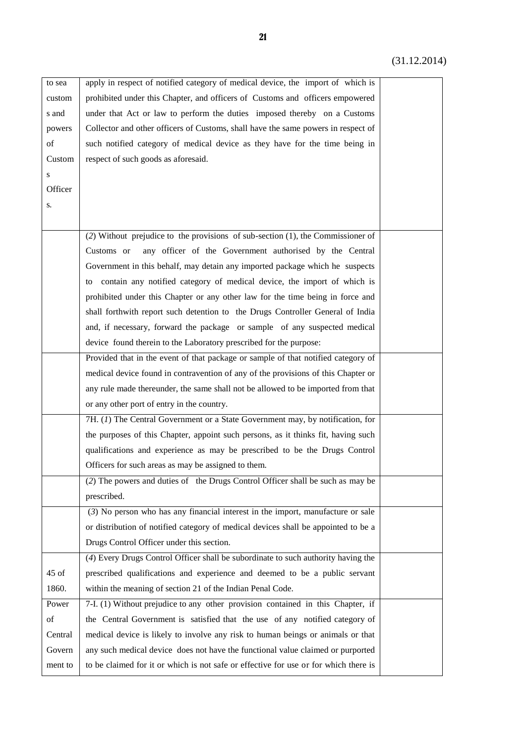| to sea  | apply in respect of notified category of medical device, the import of which is              |  |
|---------|----------------------------------------------------------------------------------------------|--|
| custom  | prohibited under this Chapter, and officers of Customs and officers empowered                |  |
| s and   | under that Act or law to perform the duties imposed thereby on a Customs                     |  |
| powers  | Collector and other officers of Customs, shall have the same powers in respect of            |  |
| of      | such notified category of medical device as they have for the time being in                  |  |
| Custom  | respect of such goods as aforesaid.                                                          |  |
| S       |                                                                                              |  |
| Officer |                                                                                              |  |
| S.      |                                                                                              |  |
|         |                                                                                              |  |
|         | (2) Without prejudice to the provisions $\overline{of sub-section (1), the Commissioner of}$ |  |
|         | any officer of the Government authorised by the Central<br>Customs or                        |  |
|         | Government in this behalf, may detain any imported package which he suspects                 |  |
|         | contain any notified category of medical device, the import of which is<br>to                |  |
|         | prohibited under this Chapter or any other law for the time being in force and               |  |
|         | shall forthwith report such detention to the Drugs Controller General of India               |  |
|         | and, if necessary, forward the package or sample of any suspected medical                    |  |
|         | device found therein to the Laboratory prescribed for the purpose:                           |  |
|         | Provided that in the event of that package or sample of that notified category of            |  |
|         | medical device found in contravention of any of the provisions of this Chapter or            |  |
|         | any rule made thereunder, the same shall not be allowed to be imported from that             |  |
|         | or any other port of entry in the country.                                                   |  |
|         | 7H. (1) The Central Government or a State Government may, by notification, for               |  |
|         | the purposes of this Chapter, appoint such persons, as it thinks fit, having such            |  |
|         | qualifications and experience as may be prescribed to be the Drugs Control                   |  |
|         | Officers for such areas as may be assigned to them.                                          |  |
|         | (2) The powers and duties of the Drugs Control Officer shall be such as may be               |  |
|         | prescribed.                                                                                  |  |
|         | $(3)$ No person who has any financial interest in the import, manufacture or sale            |  |
|         | or distribution of notified category of medical devices shall be appointed to be a           |  |
|         | Drugs Control Officer under this section.                                                    |  |
|         | (4) Every Drugs Control Officer shall be subordinate to such authority having the            |  |
| 45 of   | prescribed qualifications and experience and deemed to be a public servant                   |  |
| 1860.   | within the meaning of section 21 of the Indian Penal Code.                                   |  |
| Power   | 7-I. (1) Without prejudice to any other provision contained in this Chapter, if              |  |
| of      | the Central Government is satisfied that the use of any notified category of                 |  |
| Central | medical device is likely to involve any risk to human beings or animals or that              |  |
| Govern  | any such medical device does not have the functional value claimed or purported              |  |
| ment to | to be claimed for it or which is not safe or effective for use or for which there is         |  |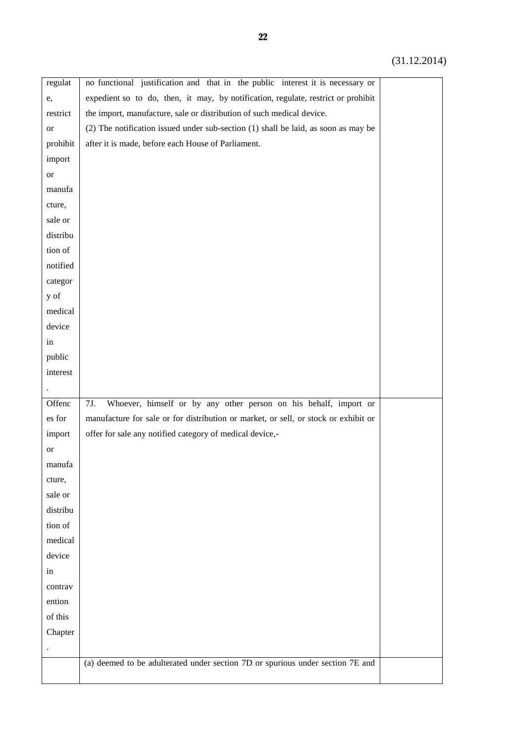| regulat   | no functional justification and that in the public interest it is necessary or         |  |
|-----------|----------------------------------------------------------------------------------------|--|
| e,        | expedient so to do, then, it may, by notification, regulate, restrict or prohibit      |  |
| restrict  | the import, manufacture, sale or distribution of such medical device.                  |  |
| <b>or</b> | $(2)$ The notification issued under sub-section $(1)$ shall be laid, as soon as may be |  |
| prohibit  | after it is made, before each House of Parliament.                                     |  |
| import    |                                                                                        |  |
| <b>or</b> |                                                                                        |  |
| manufa    |                                                                                        |  |
| cture,    |                                                                                        |  |
| sale or   |                                                                                        |  |
| distribu  |                                                                                        |  |
| tion of   |                                                                                        |  |
| notified  |                                                                                        |  |
| categor   |                                                                                        |  |
| y of      |                                                                                        |  |
| medical   |                                                                                        |  |
| device    |                                                                                        |  |
| in        |                                                                                        |  |
| public    |                                                                                        |  |
| interest  |                                                                                        |  |
|           |                                                                                        |  |
| Offenc    | Whoever, himself or by any other person on his behalf, import or<br>7J.                |  |
| es for    | manufacture for sale or for distribution or market, or sell, or stock or exhibit or    |  |
| import    | offer for sale any notified category of medical device,-                               |  |
| <b>or</b> |                                                                                        |  |
| manufa    |                                                                                        |  |
| cture,    |                                                                                        |  |
| sale or   |                                                                                        |  |
| distribu  |                                                                                        |  |
| tion of   |                                                                                        |  |
| medical   |                                                                                        |  |
| device    |                                                                                        |  |
| in        |                                                                                        |  |
| contrav   |                                                                                        |  |
| ention    |                                                                                        |  |
| of this   |                                                                                        |  |
| Chapter   |                                                                                        |  |
|           |                                                                                        |  |
|           | (a) deemed to be adulterated under section 7D or spurious under section 7E and         |  |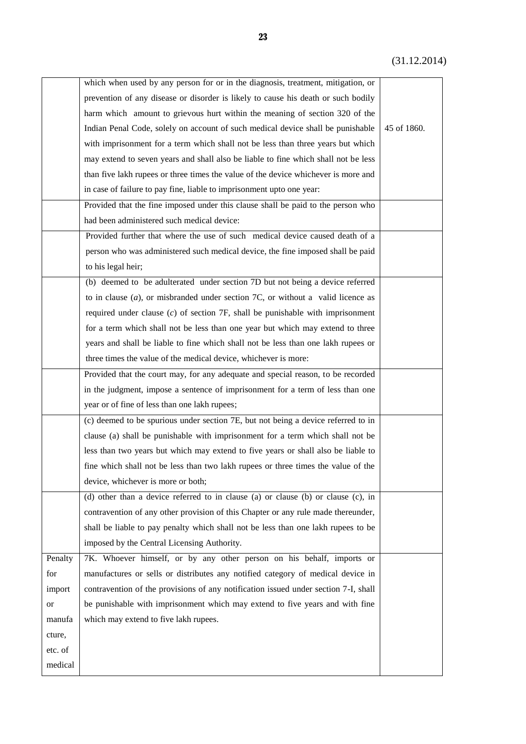|         | which when used by any person for or in the diagnosis, treatment, mitigation, or    |             |
|---------|-------------------------------------------------------------------------------------|-------------|
|         | prevention of any disease or disorder is likely to cause his death or such bodily   |             |
|         | harm which amount to grievous hurt within the meaning of section 320 of the         |             |
|         | Indian Penal Code, solely on account of such medical device shall be punishable     | 45 of 1860. |
|         | with imprisonment for a term which shall not be less than three years but which     |             |
|         | may extend to seven years and shall also be liable to fine which shall not be less  |             |
|         | than five lakh rupees or three times the value of the device whichever is more and  |             |
|         | in case of failure to pay fine, liable to imprisonment upto one year:               |             |
|         | Provided that the fine imposed under this clause shall be paid to the person who    |             |
|         | had been administered such medical device:                                          |             |
|         | Provided further that where the use of such medical device caused death of a        |             |
|         | person who was administered such medical device, the fine imposed shall be paid     |             |
|         | to his legal heir;                                                                  |             |
|         | (b) deemed to be adulterated under section 7D but not being a device referred       |             |
|         | to in clause $(a)$ , or misbranded under section 7C, or without a valid licence as  |             |
|         | required under clause $(c)$ of section $7F$ , shall be punishable with imprisonment |             |
|         | for a term which shall not be less than one year but which may extend to three      |             |
|         | years and shall be liable to fine which shall not be less than one lakh rupees or   |             |
|         | three times the value of the medical device, whichever is more:                     |             |
|         | Provided that the court may, for any adequate and special reason, to be recorded    |             |
|         | in the judgment, impose a sentence of imprisonment for a term of less than one      |             |
|         | year or of fine of less than one lakh rupees;                                       |             |
|         | (c) deemed to be spurious under section 7E, but not being a device referred to in   |             |
|         | clause (a) shall be punishable with imprisonment for a term which shall not be      |             |
|         | less than two years but which may extend to five years or shall also be liable to   |             |
|         | fine which shall not be less than two lakh rupees or three times the value of the   |             |
|         | device, whichever is more or both;                                                  |             |
|         | (d) other than a device referred to in clause (a) or clause (b) or clause (c), in   |             |
|         | contravention of any other provision of this Chapter or any rule made thereunder,   |             |
|         | shall be liable to pay penalty which shall not be less than one lakh rupees to be   |             |
|         | imposed by the Central Licensing Authority.                                         |             |
| Penalty | 7K. Whoever himself, or by any other person on his behalf, imports or               |             |
| for     | manufactures or sells or distributes any notified category of medical device in     |             |
| import  | contravention of the provisions of any notification issued under section 7-I, shall |             |
| or      | be punishable with imprisonment which may extend to five years and with fine        |             |
| manufa  | which may extend to five lakh rupees.                                               |             |
| cture,  |                                                                                     |             |
| etc. of |                                                                                     |             |
| medical |                                                                                     |             |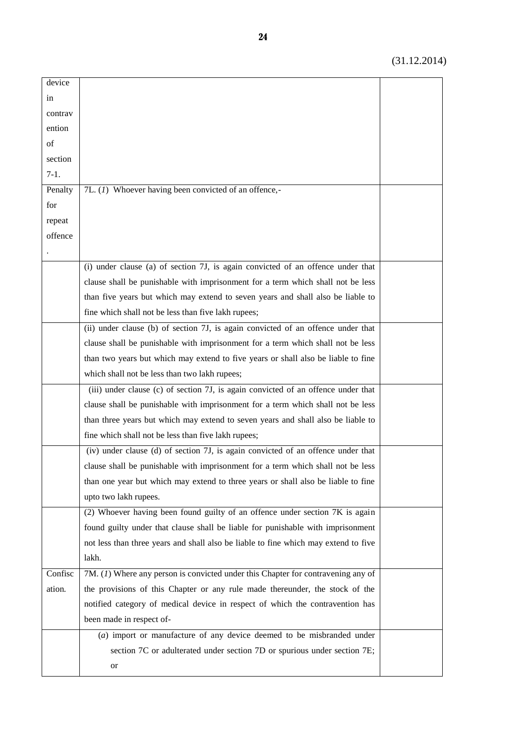| device  |                                                                                     |  |
|---------|-------------------------------------------------------------------------------------|--|
| in      |                                                                                     |  |
| contrav |                                                                                     |  |
| ention  |                                                                                     |  |
| of      |                                                                                     |  |
| section |                                                                                     |  |
| $7-1.$  |                                                                                     |  |
| Penalty | 7L. (1) Whoever having been convicted of an offence,-                               |  |
| for     |                                                                                     |  |
| repeat  |                                                                                     |  |
| offence |                                                                                     |  |
|         |                                                                                     |  |
|         | (i) under clause (a) of section 7J, is again convicted of an offence under that     |  |
|         | clause shall be punishable with imprisonment for a term which shall not be less     |  |
|         | than five years but which may extend to seven years and shall also be liable to     |  |
|         | fine which shall not be less than five lakh rupees;                                 |  |
|         | (ii) under clause (b) of section 7J, is again convicted of an offence under that    |  |
|         | clause shall be punishable with imprisonment for a term which shall not be less     |  |
|         | than two years but which may extend to five years or shall also be liable to fine   |  |
|         | which shall not be less than two lakh rupees;                                       |  |
|         | (iii) under clause (c) of section 7J, is again convicted of an offence under that   |  |
|         | clause shall be punishable with imprisonment for a term which shall not be less     |  |
|         | than three years but which may extend to seven years and shall also be liable to    |  |
|         | fine which shall not be less than five lakh rupees;                                 |  |
|         | (iv) under clause (d) of section 7J, is again convicted of an offence under that    |  |
|         | clause shall be punishable with imprisonment for a term which shall not be less     |  |
|         | than one year but which may extend to three years or shall also be liable to fine   |  |
|         | upto two lakh rupees.                                                               |  |
|         | (2) Whoever having been found guilty of an offence under section 7K is again        |  |
|         | found guilty under that clause shall be liable for punishable with imprisonment     |  |
|         | not less than three years and shall also be liable to fine which may extend to five |  |
|         | lakh.                                                                               |  |
| Confisc | 7M. (1) Where any person is convicted under this Chapter for contravening any of    |  |
| ation.  | the provisions of this Chapter or any rule made thereunder, the stock of the        |  |
|         | notified category of medical device in respect of which the contravention has       |  |
|         | been made in respect of-                                                            |  |
|         | $(a)$ import or manufacture of any device deemed to be misbranded under             |  |
|         | section 7C or adulterated under section 7D or spurious under section 7E;            |  |
|         | or                                                                                  |  |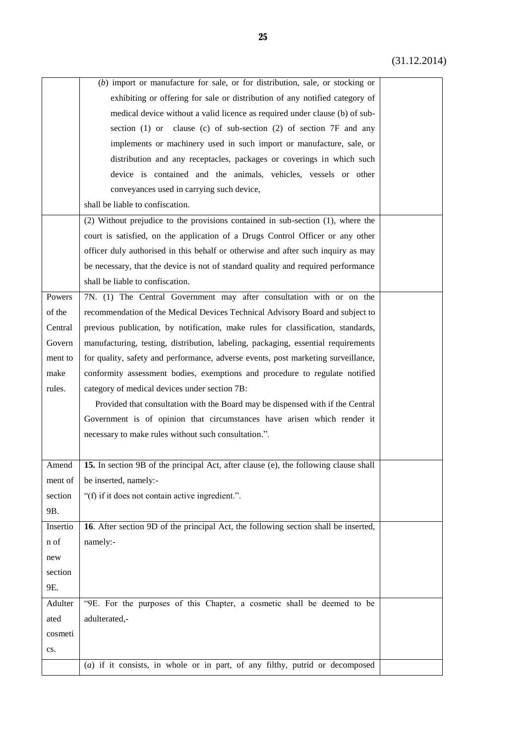|          | $(b)$ import or manufacture for sale, or for distribution, sale, or stocking or      |  |
|----------|--------------------------------------------------------------------------------------|--|
|          | exhibiting or offering for sale or distribution of any notified category of          |  |
|          | medical device without a valid licence as required under clause (b) of sub-          |  |
|          | section (1) or clause (c) of sub-section (2) of section 7F and any                   |  |
|          | implements or machinery used in such import or manufacture, sale, or                 |  |
|          | distribution and any receptacles, packages or coverings in which such                |  |
|          | device is contained and the animals, vehicles, vessels or other                      |  |
|          | conveyances used in carrying such device,                                            |  |
|          | shall be liable to confiscation.                                                     |  |
|          | (2) Without prejudice to the provisions contained in sub-section (1), where the      |  |
|          | court is satisfied, on the application of a Drugs Control Officer or any other       |  |
|          | officer duly authorised in this behalf or otherwise and after such inquiry as may    |  |
|          | be necessary, that the device is not of standard quality and required performance    |  |
|          | shall be liable to confiscation.                                                     |  |
| Powers   | 7N. (1) The Central Government may after consultation with or on the                 |  |
| of the   | recommendation of the Medical Devices Technical Advisory Board and subject to        |  |
| Central  | previous publication, by notification, make rules for classification, standards,     |  |
| Govern   | manufacturing, testing, distribution, labeling, packaging, essential requirements    |  |
| ment to  | for quality, safety and performance, adverse events, post marketing surveillance,    |  |
| make     | conformity assessment bodies, exemptions and procedure to regulate notified          |  |
| rules.   | category of medical devices under section 7B:                                        |  |
|          | Provided that consultation with the Board may be dispensed with if the Central       |  |
|          | Government is of opinion that circumstances have arisen which render it              |  |
|          | necessary to make rules without such consultation.".                                 |  |
|          |                                                                                      |  |
| Amend    | 15. In section 9B of the principal Act, after clause (e), the following clause shall |  |
| ment of  | be inserted, namely:-                                                                |  |
| section  | "(f) if it does not contain active ingredient.".                                     |  |
| 9B.      |                                                                                      |  |
| Insertio | 16. After section 9D of the principal Act, the following section shall be inserted,  |  |
| n of     | namely:-                                                                             |  |
| new      |                                                                                      |  |
| section  |                                                                                      |  |
| 9E.      |                                                                                      |  |
| Adulter  | "9E. For the purposes of this Chapter, a cosmetic shall be deemed to be              |  |
| ated     | adulterated,-                                                                        |  |
| cosmeti  |                                                                                      |  |
| cs.      |                                                                                      |  |
|          | $(a)$ if it consists, in whole or in part, of any filthy, putrid or decomposed       |  |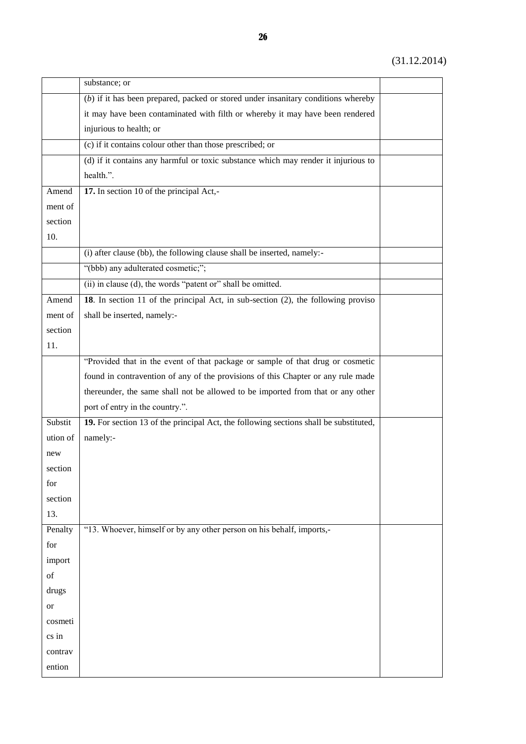|           | substance; or                                                                         |  |
|-----------|---------------------------------------------------------------------------------------|--|
|           | $(b)$ if it has been prepared, packed or stored under insanitary conditions whereby   |  |
|           | it may have been contaminated with filth or whereby it may have been rendered         |  |
|           | injurious to health; or                                                               |  |
|           | (c) if it contains colour other than those prescribed; or                             |  |
|           | (d) if it contains any harmful or toxic substance which may render it injurious to    |  |
|           | health.".                                                                             |  |
| Amend     | 17. In section 10 of the principal Act,-                                              |  |
| ment of   |                                                                                       |  |
| section   |                                                                                       |  |
| 10.       |                                                                                       |  |
|           | (i) after clause (bb), the following clause shall be inserted, namely:-               |  |
|           | "(bbb) any adulterated cosmetic;";                                                    |  |
|           | (ii) in clause $(d)$ , the words "patent or" shall be omitted.                        |  |
| Amend     | 18. In section 11 of the principal Act, in sub-section (2), the following proviso     |  |
| ment of   | shall be inserted, namely:-                                                           |  |
| section   |                                                                                       |  |
| 11.       |                                                                                       |  |
|           | "Provided that in the event of that package or sample of that drug or cosmetic        |  |
|           | found in contravention of any of the provisions of this Chapter or any rule made      |  |
|           | thereunder, the same shall not be allowed to be imported from that or any other       |  |
|           | port of entry in the country.".                                                       |  |
| Substit   | 19. For section 13 of the principal Act, the following sections shall be substituted, |  |
| ution of  | namely:-                                                                              |  |
| new       |                                                                                       |  |
| section   |                                                                                       |  |
| for       |                                                                                       |  |
| section   |                                                                                       |  |
| 13.       |                                                                                       |  |
| Penalty   | "13. Whoever, himself or by any other person on his behalf, imports,-                 |  |
| for       |                                                                                       |  |
| import    |                                                                                       |  |
| of        |                                                                                       |  |
| drugs     |                                                                                       |  |
| <b>or</b> |                                                                                       |  |
| cosmeti   |                                                                                       |  |
| cs in     |                                                                                       |  |
| contrav   |                                                                                       |  |
| ention    |                                                                                       |  |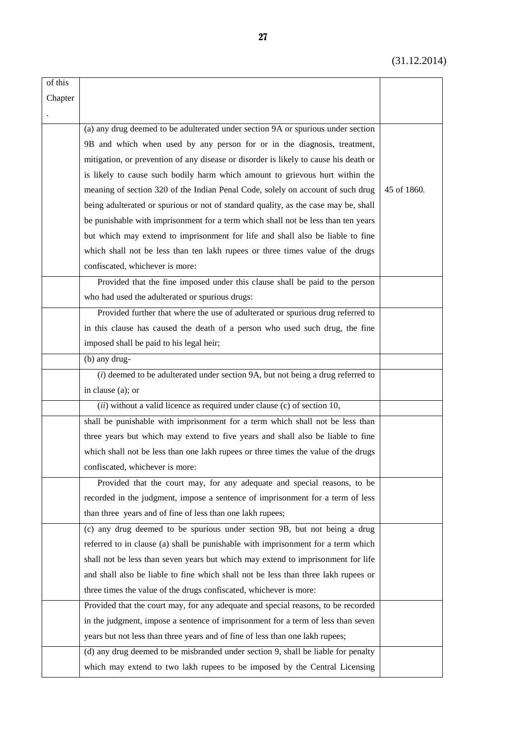| of this |                                                                                      |             |
|---------|--------------------------------------------------------------------------------------|-------------|
| Chapter |                                                                                      |             |
|         |                                                                                      |             |
|         | (a) any drug deemed to be adulterated under section 9A or spurious under section     |             |
|         | 9B and which when used by any person for or in the diagnosis, treatment,             |             |
|         | mitigation, or prevention of any disease or disorder is likely to cause his death or |             |
|         | is likely to cause such bodily harm which amount to grievous hurt within the         |             |
|         | meaning of section 320 of the Indian Penal Code, solely on account of such drug      | 45 of 1860. |
|         | being adulterated or spurious or not of standard quality, as the case may be, shall  |             |
|         | be punishable with imprisonment for a term which shall not be less than ten years    |             |
|         | but which may extend to imprisonment for life and shall also be liable to fine       |             |
|         | which shall not be less than ten lakh rupees or three times value of the drugs       |             |
|         | confiscated, whichever is more:                                                      |             |
|         | Provided that the fine imposed under this clause shall be paid to the person         |             |
|         | who had used the adulterated or spurious drugs:                                      |             |
|         | Provided further that where the use of adulterated or spurious drug referred to      |             |
|         | in this clause has caused the death of a person who used such drug, the fine         |             |
|         | imposed shall be paid to his legal heir;                                             |             |
|         | (b) any drug-                                                                        |             |
|         | $(i)$ deemed to be adulterated under section 9A, but not being a drug referred to    |             |
|         | in clause (a); or                                                                    |             |
|         | $(ii)$ without a valid licence as required under clause (c) of section 10,           |             |
|         | shall be punishable with imprisonment for a term which shall not be less than        |             |
|         | three years but which may extend to five years and shall also be liable to fine      |             |
|         | which shall not be less than one lakh rupees or three times the value of the drugs   |             |
|         | confiscated, whichever is more:                                                      |             |
|         | Provided that the court may, for any adequate and special reasons, to be             |             |
|         | recorded in the judgment, impose a sentence of imprisonment for a term of less       |             |
|         | than three years and of fine of less than one lakh rupees;                           |             |
|         | (c) any drug deemed to be spurious under section 9B, but not being a drug            |             |
|         | referred to in clause (a) shall be punishable with imprisonment for a term which     |             |
|         | shall not be less than seven years but which may extend to imprisonment for life     |             |
|         | and shall also be liable to fine which shall not be less than three lakh rupees or   |             |
|         | three times the value of the drugs confiscated, whichever is more:                   |             |
|         | Provided that the court may, for any adequate and special reasons, to be recorded    |             |
|         | in the judgment, impose a sentence of imprisonment for a term of less than seven     |             |
|         | years but not less than three years and of fine of less than one lakh rupees;        |             |
|         | (d) any drug deemed to be misbranded under section 9, shall be liable for penalty    |             |
|         | which may extend to two lakh rupees to be imposed by the Central Licensing           |             |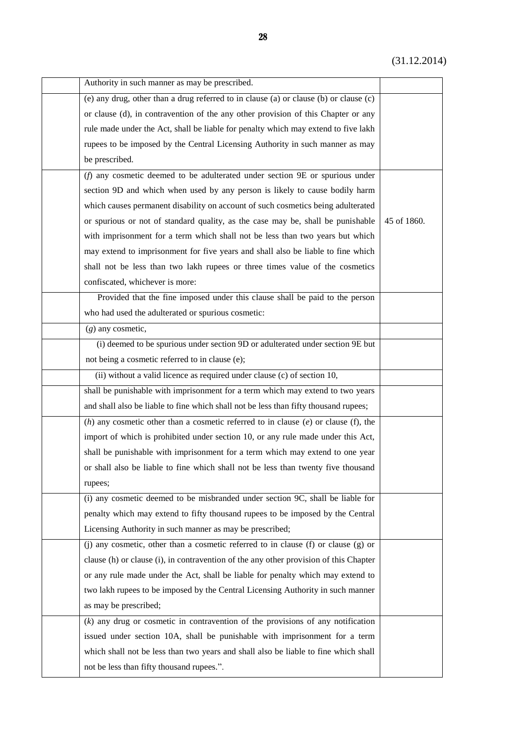| Authority in such manner as may be prescribed.                                           |             |
|------------------------------------------------------------------------------------------|-------------|
| (e) any drug, other than a drug referred to in clause (a) or clause (b) or clause (c)    |             |
| or clause (d), in contravention of the any other provision of this Chapter or any        |             |
| rule made under the Act, shall be liable for penalty which may extend to five lakh       |             |
| rupees to be imposed by the Central Licensing Authority in such manner as may            |             |
| be prescribed.                                                                           |             |
| ( $f$ ) any cosmetic deemed to be adulterated under section $9E$ or spurious under       |             |
| section 9D and which when used by any person is likely to cause bodily harm              |             |
| which causes permanent disability on account of such cosmetics being adulterated         |             |
| or spurious or not of standard quality, as the case may be, shall be punishable          | 45 of 1860. |
| with imprisonment for a term which shall not be less than two years but which            |             |
| may extend to imprisonment for five years and shall also be liable to fine which         |             |
| shall not be less than two lakh rupees or three times value of the cosmetics             |             |
| confiscated, whichever is more:                                                          |             |
| Provided that the fine imposed under this clause shall be paid to the person             |             |
| who had used the adulterated or spurious cosmetic:                                       |             |
| $(g)$ any cosmetic,                                                                      |             |
| (i) deemed to be spurious under section 9D or adulterated under section 9E but           |             |
| not being a cosmetic referred to in clause (e);                                          |             |
| (ii) without a valid licence as required under clause (c) of section 10,                 |             |
| shall be punishable with imprisonment for a term which may extend to two years           |             |
| and shall also be liable to fine which shall not be less than fifty thousand rupees;     |             |
| (h) any cosmetic other than a cosmetic referred to in clause $(e)$ or clause $(f)$ , the |             |
| import of which is prohibited under section 10, or any rule made under this Act,         |             |
| shall be punishable with imprisonment for a term which may extend to one year            |             |
| or shall also be liable to fine which shall not be less than twenty five thousand        |             |
| rupees;                                                                                  |             |
| (i) any cosmetic deemed to be misbranded under section 9C, shall be liable for           |             |
| penalty which may extend to fifty thousand rupees to be imposed by the Central           |             |
| Licensing Authority in such manner as may be prescribed;                                 |             |
| (j) any cosmetic, other than a cosmetic referred to in clause (f) or clause (g) or       |             |
| clause (h) or clause (i), in contravention of the any other provision of this Chapter    |             |
| or any rule made under the Act, shall be liable for penalty which may extend to          |             |
| two lakh rupees to be imposed by the Central Licensing Authority in such manner          |             |
| as may be prescribed;                                                                    |             |
| $(k)$ any drug or cosmetic in contravention of the provisions of any notification        |             |
| issued under section 10A, shall be punishable with imprisonment for a term               |             |
| which shall not be less than two years and shall also be liable to fine which shall      |             |
| not be less than fifty thousand rupees.".                                                |             |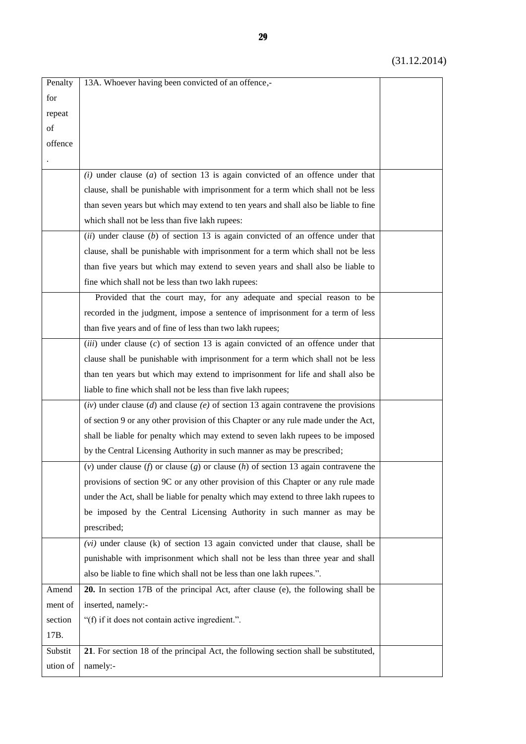| Penalty  | 13A. Whoever having been convicted of an offence,-                                   |  |
|----------|--------------------------------------------------------------------------------------|--|
| for      |                                                                                      |  |
| repeat   |                                                                                      |  |
| of       |                                                                                      |  |
| offence  |                                                                                      |  |
|          |                                                                                      |  |
|          | $(i)$ under clause $(a)$ of section 13 is again convicted of an offence under that   |  |
|          | clause, shall be punishable with imprisonment for a term which shall not be less     |  |
|          | than seven years but which may extend to ten years and shall also be liable to fine  |  |
|          | which shall not be less than five lakh rupees:                                       |  |
|          | $(ii)$ under clause (b) of section 13 is again convicted of an offence under that    |  |
|          | clause, shall be punishable with imprisonment for a term which shall not be less     |  |
|          | than five years but which may extend to seven years and shall also be liable to      |  |
|          | fine which shall not be less than two lakh rupees:                                   |  |
|          | Provided that the court may, for any adequate and special reason to be               |  |
|          | recorded in the judgment, impose a sentence of imprisonment for a term of less       |  |
|          | than five years and of fine of less than two lakh rupees;                            |  |
|          | $(iii)$ under clause $(c)$ of section 13 is again convicted of an offence under that |  |
|          | clause shall be punishable with imprisonment for a term which shall not be less      |  |
|          | than ten years but which may extend to imprisonment for life and shall also be       |  |
|          | liable to fine which shall not be less than five lakh rupees;                        |  |
|          | (iv) under clause (d) and clause (e) of section 13 again contravene the provisions   |  |
|          | of section 9 or any other provision of this Chapter or any rule made under the Act,  |  |
|          | shall be liable for penalty which may extend to seven lakh rupees to be imposed      |  |
|          | by the Central Licensing Authority in such manner as may be prescribed;              |  |
|          | (v) under clause (f) or clause (g) or clause (h) of section 13 again contravene the  |  |
|          | provisions of section 9C or any other provision of this Chapter or any rule made     |  |
|          | under the Act, shall be liable for penalty which may extend to three lakh rupees to  |  |
|          | be imposed by the Central Licensing Authority in such manner as may be               |  |
|          | prescribed;                                                                          |  |
|          | $(vi)$ under clause (k) of section 13 again convicted under that clause, shall be    |  |
|          | punishable with imprisonment which shall not be less than three year and shall       |  |
|          | also be liable to fine which shall not be less than one lakh rupees.".               |  |
| Amend    | 20. In section 17B of the principal Act, after clause (e), the following shall be    |  |
| ment of  | inserted, namely:-                                                                   |  |
| section  | "(f) if it does not contain active ingredient.".                                     |  |
| 17B.     |                                                                                      |  |
| Substit  | 21. For section 18 of the principal Act, the following section shall be substituted, |  |
| ution of | namely:-                                                                             |  |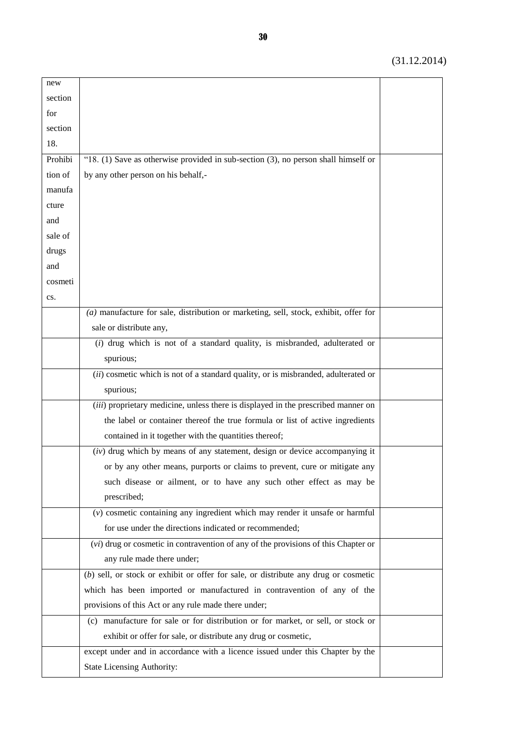| new     |                                                                                         |  |
|---------|-----------------------------------------------------------------------------------------|--|
| section |                                                                                         |  |
| for     |                                                                                         |  |
| section |                                                                                         |  |
| 18.     |                                                                                         |  |
| Prohibi | "18. $(1)$ Save as otherwise provided in sub-section $(3)$ , no person shall himself or |  |
| tion of | by any other person on his behalf,-                                                     |  |
| manufa  |                                                                                         |  |
| cture   |                                                                                         |  |
| and     |                                                                                         |  |
| sale of |                                                                                         |  |
| drugs   |                                                                                         |  |
| and     |                                                                                         |  |
| cosmeti |                                                                                         |  |
| cs.     |                                                                                         |  |
|         | $(a)$ manufacture for sale, distribution or marketing, sell, stock, exhibit, offer for  |  |
|         | sale or distribute any,                                                                 |  |
|         | $(i)$ drug which is not of a standard quality, is misbranded, adulterated or            |  |
|         | spurious;                                                                               |  |
|         | (ii) cosmetic which is not of a standard quality, or is misbranded, adulterated or      |  |
|         | spurious;                                                                               |  |
|         | (iii) proprietary medicine, unless there is displayed in the prescribed manner on       |  |
|         | the label or container thereof the true formula or list of active ingredients           |  |
|         | contained in it together with the quantities thereof;                                   |  |
|         | $(iv)$ drug which by means of any statement, design or device accompanying it           |  |
|         | or by any other means, purports or claims to prevent, cure or mitigate any              |  |
|         | such disease or ailment, or to have any such other effect as may be                     |  |
|         | prescribed;                                                                             |  |
|         | $(v)$ cosmetic containing any ingredient which may render it unsafe or harmful          |  |
|         | for use under the directions indicated or recommended;                                  |  |
|         | $(vi)$ drug or cosmetic in contravention of any of the provisions of this Chapter or    |  |
|         | any rule made there under;                                                              |  |
|         | $(b)$ sell, or stock or exhibit or offer for sale, or distribute any drug or cosmetic   |  |
|         | which has been imported or manufactured in contravention of any of the                  |  |
|         | provisions of this Act or any rule made there under;                                    |  |
|         | (c) manufacture for sale or for distribution or for market, or sell, or stock or        |  |
|         | exhibit or offer for sale, or distribute any drug or cosmetic,                          |  |
|         | except under and in accordance with a licence issued under this Chapter by the          |  |
|         | <b>State Licensing Authority:</b>                                                       |  |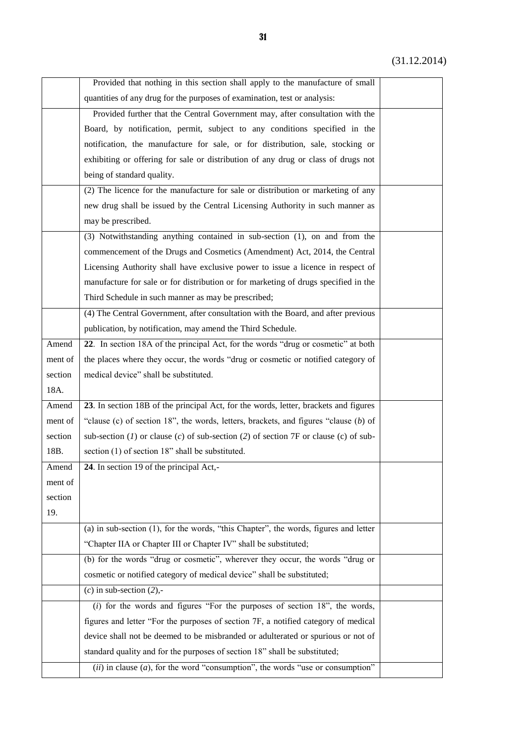|         | Provided that nothing in this section shall apply to the manufacture of small          |  |
|---------|----------------------------------------------------------------------------------------|--|
|         | quantities of any drug for the purposes of examination, test or analysis:              |  |
|         |                                                                                        |  |
|         | Provided further that the Central Government may, after consultation with the          |  |
|         | Board, by notification, permit, subject to any conditions specified in the             |  |
|         | notification, the manufacture for sale, or for distribution, sale, stocking or         |  |
|         | exhibiting or offering for sale or distribution of any drug or class of drugs not      |  |
|         | being of standard quality.                                                             |  |
|         | (2) The licence for the manufacture for sale or distribution or marketing of any       |  |
|         | new drug shall be issued by the Central Licensing Authority in such manner as          |  |
|         | may be prescribed.                                                                     |  |
|         | (3) Notwithstanding anything contained in sub-section (1), on and from the             |  |
|         | commencement of the Drugs and Cosmetics (Amendment) Act, 2014, the Central             |  |
|         | Licensing Authority shall have exclusive power to issue a licence in respect of        |  |
|         | manufacture for sale or for distribution or for marketing of drugs specified in the    |  |
|         | Third Schedule in such manner as may be prescribed;                                    |  |
|         | (4) The Central Government, after consultation with the Board, and after previous      |  |
|         | publication, by notification, may amend the Third Schedule.                            |  |
| Amend   | 22. In section 18A of the principal Act, for the words "drug or cosmetic" at both      |  |
| ment of | the places where they occur, the words "drug or cosmetic or notified category of       |  |
| section | medical device" shall be substituted.                                                  |  |
| 18A.    |                                                                                        |  |
| Amend   | 23. In section 18B of the principal Act, for the words, letter, brackets and figures   |  |
| ment of | "clause (c) of section 18", the words, letters, brackets, and figures "clause $(b)$ of |  |
| section | sub-section (1) or clause (c) of sub-section (2) of section 7F or clause (c) of sub-   |  |
| 18B.    | section (1) of section 18" shall be substituted.                                       |  |
| Amend   | 24. In section 19 of the principal Act,-                                               |  |
| ment of |                                                                                        |  |
| section |                                                                                        |  |
| 19.     |                                                                                        |  |
|         | (a) in sub-section (1), for the words, "this Chapter", the words, figures and letter   |  |
|         | "Chapter IIA or Chapter III or Chapter IV" shall be substituted;                       |  |
|         | (b) for the words "drug or cosmetic", wherever they occur, the words "drug or          |  |
|         | cosmetic or notified category of medical device" shall be substituted;                 |  |
|         | (c) in sub-section $(2)$ ,-                                                            |  |
|         | $(i)$ for the words and figures "For the purposes of section 18", the words,           |  |
|         | figures and letter "For the purposes of section 7F, a notified category of medical     |  |
|         | device shall not be deemed to be misbranded or adulterated or spurious or not of       |  |
|         | standard quality and for the purposes of section 18" shall be substituted;             |  |
|         | $(ii)$ in clause $(a)$ , for the word "consumption", the words "use or consumption"    |  |
|         |                                                                                        |  |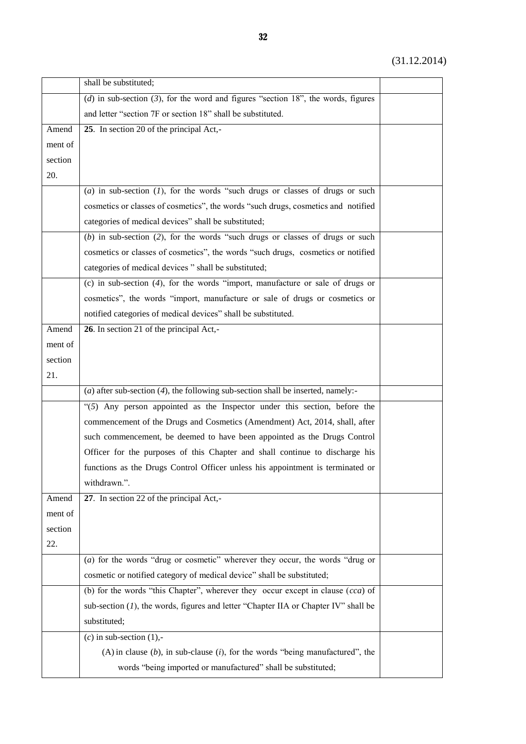|         | shall be substituted;                                                                  |  |
|---------|----------------------------------------------------------------------------------------|--|
|         | (d) in sub-section (3), for the word and figures "section 18", the words, figures      |  |
|         | and letter "section 7F or section 18" shall be substituted.                            |  |
| Amend   | 25. In section 20 of the principal Act,-                                               |  |
| ment of |                                                                                        |  |
| section |                                                                                        |  |
| 20.     |                                                                                        |  |
|         | (a) in sub-section $(1)$ , for the words "such drugs or classes of drugs or such       |  |
|         | cosmetics or classes of cosmetics", the words "such drugs, cosmetics and notified      |  |
|         | categories of medical devices" shall be substituted;                                   |  |
|         | $(b)$ in sub-section (2), for the words "such drugs or classes of drugs or such        |  |
|         | cosmetics or classes of cosmetics", the words "such drugs, cosmetics or notified       |  |
|         | categories of medical devices " shall be substituted;                                  |  |
|         | (c) in sub-section $(4)$ , for the words "import, manufacture or sale of drugs or      |  |
|         | cosmetics", the words "import, manufacture or sale of drugs or cosmetics or            |  |
|         | notified categories of medical devices" shall be substituted.                          |  |
| Amend   | 26. In section 21 of the principal Act,-                                               |  |
| ment of |                                                                                        |  |
| section |                                                                                        |  |
| 21.     |                                                                                        |  |
|         | (a) after sub-section $(4)$ , the following sub-section shall be inserted, namely:-    |  |
|         | " $(5)$ Any person appointed as the Inspector under this section, before the           |  |
|         | commencement of the Drugs and Cosmetics (Amendment) Act, 2014, shall, after            |  |
|         | such commencement, be deemed to have been appointed as the Drugs Control               |  |
|         | Officer for the purposes of this Chapter and shall continue to discharge his           |  |
|         | functions as the Drugs Control Officer unless his appointment is terminated or         |  |
|         | withdrawn.".                                                                           |  |
| Amend   | 27. In section 22 of the principal Act,-                                               |  |
| ment of |                                                                                        |  |
| section |                                                                                        |  |
| 22.     |                                                                                        |  |
|         | (a) for the words "drug or cosmetic" wherever they occur, the words "drug or           |  |
|         | cosmetic or notified category of medical device" shall be substituted;                 |  |
|         | (b) for the words "this Chapter", wherever they occur except in clause $(cca)$ of      |  |
|         | sub-section $(I)$ , the words, figures and letter "Chapter IIA or Chapter IV" shall be |  |
|         | substituted;                                                                           |  |
|         | $(c)$ in sub-section $(1)$ ,-                                                          |  |
|         | $(A)$ in clause $(b)$ , in sub-clause $(i)$ , for the words "being manufactured", the  |  |
|         | words "being imported or manufactured" shall be substituted;                           |  |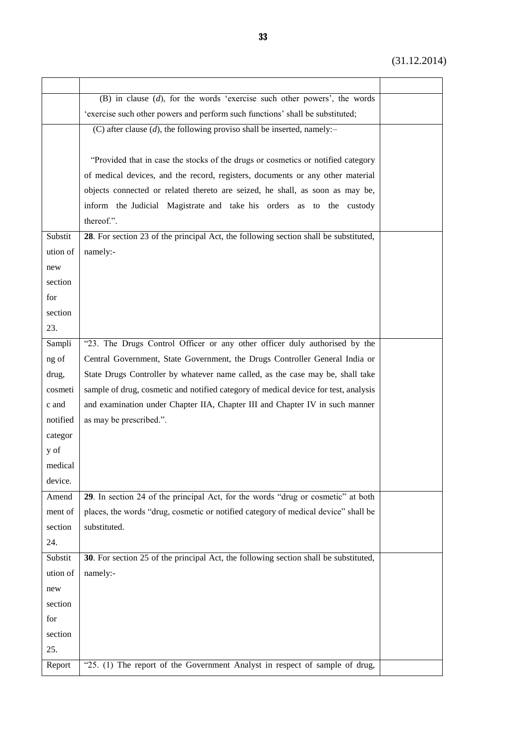|          | (B) in clause $(d)$ , for the words 'exercise such other powers', the words          |  |
|----------|--------------------------------------------------------------------------------------|--|
|          | 'exercise such other powers and perform such functions' shall be substituted;        |  |
|          | (C) after clause $(d)$ , the following proviso shall be inserted, namely:-           |  |
|          |                                                                                      |  |
|          | "Provided that in case the stocks of the drugs or cosmetics or notified category     |  |
|          | of medical devices, and the record, registers, documents or any other material       |  |
|          | objects connected or related thereto are seized, he shall, as soon as may be,        |  |
|          | inform the Judicial Magistrate and take his orders as to the custody                 |  |
|          | thereof.".                                                                           |  |
| Substit  | 28. For section 23 of the principal Act, the following section shall be substituted, |  |
| ution of | namely:-                                                                             |  |
| new      |                                                                                      |  |
| section  |                                                                                      |  |
| for      |                                                                                      |  |
| section  |                                                                                      |  |
| 23.      |                                                                                      |  |
| Sampli   | "23. The Drugs Control Officer or any other officer duly authorised by the           |  |
| ng of    | Central Government, State Government, the Drugs Controller General India or          |  |
| drug,    | State Drugs Controller by whatever name called, as the case may be, shall take       |  |
| cosmeti  | sample of drug, cosmetic and notified category of medical device for test, analysis  |  |
| c and    | and examination under Chapter IIA, Chapter III and Chapter IV in such manner         |  |
| notified | as may be prescribed.".                                                              |  |
| categor  |                                                                                      |  |
| y of     |                                                                                      |  |
| medical  |                                                                                      |  |
| device.  |                                                                                      |  |
| Amend    | 29. In section 24 of the principal Act, for the words "drug or cosmetic" at both     |  |
| ment of  | places, the words "drug, cosmetic or notified category of medical device" shall be   |  |
| section  | substituted.                                                                         |  |
| 24.      |                                                                                      |  |
| Substit  | 30. For section 25 of the principal Act, the following section shall be substituted, |  |
| ution of | namely:-                                                                             |  |
| new      |                                                                                      |  |
| section  |                                                                                      |  |
| for      |                                                                                      |  |
| section  |                                                                                      |  |
| 25.      |                                                                                      |  |
| Report   | "25. (1) The report of the Government Analyst in respect of sample of drug,          |  |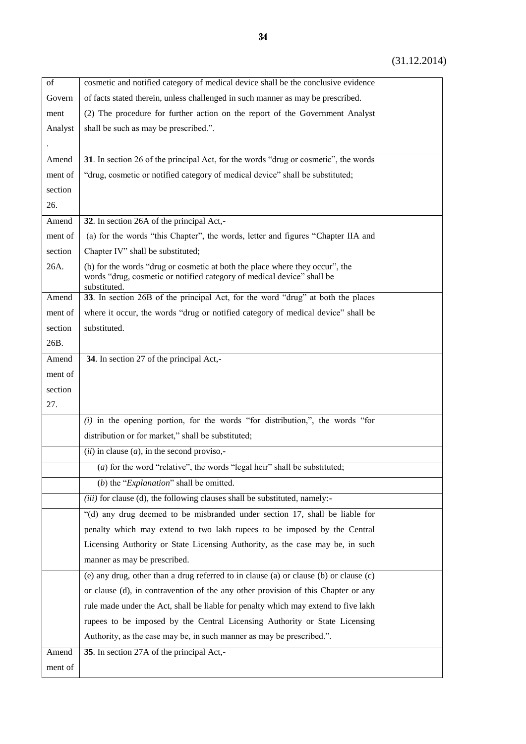| of      | cosmetic and notified category of medical device shall be the conclusive evidence                                                                                      |  |
|---------|------------------------------------------------------------------------------------------------------------------------------------------------------------------------|--|
| Govern  | of facts stated therein, unless challenged in such manner as may be prescribed.                                                                                        |  |
| ment    | (2) The procedure for further action on the report of the Government Analyst                                                                                           |  |
| Analyst | shall be such as may be prescribed.".                                                                                                                                  |  |
|         |                                                                                                                                                                        |  |
| Amend   | 31. In section 26 of the principal Act, for the words "drug or cosmetic", the words                                                                                    |  |
| ment of | "drug, cosmetic or notified category of medical device" shall be substituted;                                                                                          |  |
| section |                                                                                                                                                                        |  |
| 26.     |                                                                                                                                                                        |  |
| Amend   | 32. In section 26A of the principal Act,-                                                                                                                              |  |
| ment of | (a) for the words "this Chapter", the words, letter and figures "Chapter IIA and                                                                                       |  |
| section | Chapter IV" shall be substituted;                                                                                                                                      |  |
| 26A.    | (b) for the words "drug or cosmetic at both the place where they occur", the<br>words "drug, cosmetic or notified category of medical device" shall be<br>substituted. |  |
| Amend   | 33. In section 26B of the principal Act, for the word "drug" at both the places                                                                                        |  |
| ment of | where it occur, the words "drug or notified category of medical device" shall be                                                                                       |  |
| section | substituted.                                                                                                                                                           |  |
| 26B.    |                                                                                                                                                                        |  |
| Amend   | 34. In section 27 of the principal Act,-                                                                                                                               |  |
| ment of |                                                                                                                                                                        |  |
| section |                                                                                                                                                                        |  |
| 27.     |                                                                                                                                                                        |  |
|         | $(i)$ in the opening portion, for the words "for distribution,", the words "for                                                                                        |  |
|         | distribution or for market," shall be substituted;                                                                                                                     |  |
|         | ( <i>ii</i> ) in clause ( <i>a</i> ), in the second proviso,-                                                                                                          |  |
|         | (a) for the word "relative", the words "legal heir" shall be substituted;                                                                                              |  |
|         | (b) the " $Explanation$ " shall be omitted.                                                                                                                            |  |
|         | (iii) for clause (d), the following clauses shall be substituted, namely:-                                                                                             |  |
|         | "(d) any drug deemed to be misbranded under section 17, shall be liable for                                                                                            |  |
|         | penalty which may extend to two lakh rupees to be imposed by the Central                                                                                               |  |
|         | Licensing Authority or State Licensing Authority, as the case may be, in such                                                                                          |  |
|         | manner as may be prescribed.                                                                                                                                           |  |
|         | (e) any drug, other than a drug referred to in clause (a) or clause (b) or clause (c)                                                                                  |  |
|         | or clause (d), in contravention of the any other provision of this Chapter or any                                                                                      |  |
|         | rule made under the Act, shall be liable for penalty which may extend to five lakh                                                                                     |  |
|         | rupees to be imposed by the Central Licensing Authority or State Licensing                                                                                             |  |
|         | Authority, as the case may be, in such manner as may be prescribed.".                                                                                                  |  |
| Amend   | 35. In section 27A of the principal Act,-                                                                                                                              |  |
| ment of |                                                                                                                                                                        |  |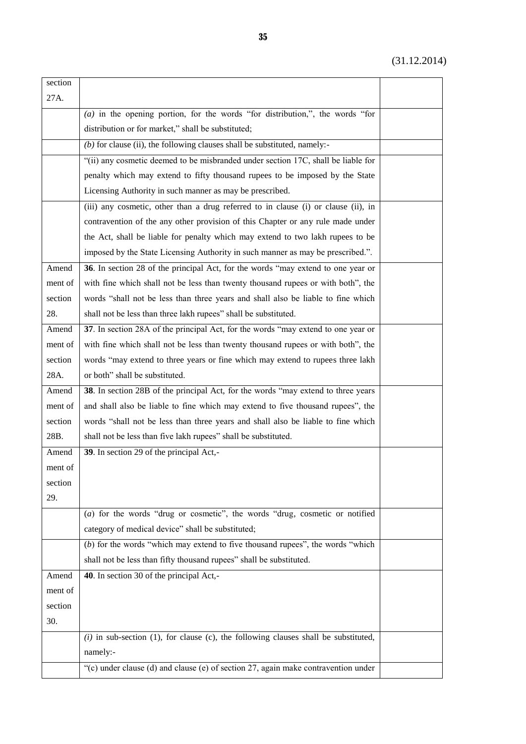| section |                                                                                       |  |
|---------|---------------------------------------------------------------------------------------|--|
| 27A.    |                                                                                       |  |
|         | $(a)$ in the opening portion, for the words "for distribution,", the words "for       |  |
|         | distribution or for market," shall be substituted;                                    |  |
|         | $(b)$ for clause (ii), the following clauses shall be substituted, namely:-           |  |
|         | "(ii) any cosmetic deemed to be misbranded under section 17C, shall be liable for     |  |
|         | penalty which may extend to fifty thousand rupees to be imposed by the State          |  |
|         | Licensing Authority in such manner as may be prescribed.                              |  |
|         | (iii) any cosmetic, other than a drug referred to in clause (i) or clause (ii), in    |  |
|         | contravention of the any other provision of this Chapter or any rule made under       |  |
|         | the Act, shall be liable for penalty which may extend to two lakh rupees to be        |  |
|         | imposed by the State Licensing Authority in such manner as may be prescribed.".       |  |
| Amend   | 36. In section 28 of the principal Act, for the words "may extend to one year or      |  |
| ment of | with fine which shall not be less than twenty thousand rupees or with both", the      |  |
| section | words "shall not be less than three years and shall also be liable to fine which      |  |
| 28.     | shall not be less than three lakh rupees" shall be substituted.                       |  |
| Amend   | 37. In section 28A of the principal Act, for the words "may extend to one year or     |  |
| ment of | with fine which shall not be less than twenty thousand rupees or with both", the      |  |
| section | words "may extend to three years or fine which may extend to rupees three lakh        |  |
| 28A.    | or both" shall be substituted.                                                        |  |
| Amend   | 38. In section 28B of the principal Act, for the words "may extend to three years"    |  |
| ment of | and shall also be liable to fine which may extend to five thousand rupees", the       |  |
| section | words "shall not be less than three years and shall also be liable to fine which      |  |
| 28B.    | shall not be less than five lakh rupees" shall be substituted.                        |  |
| Amend   | 39. In section 29 of the principal Act,-                                              |  |
| ment of |                                                                                       |  |
| section |                                                                                       |  |
| 29.     |                                                                                       |  |
|         | (a) for the words "drug or cosmetic", the words "drug, cosmetic or notified           |  |
|         | category of medical device" shall be substituted;                                     |  |
|         | $(b)$ for the words "which may extend to five thousand rupees", the words "which      |  |
|         | shall not be less than fifty thousand rupees" shall be substituted.                   |  |
| Amend   | 40. In section 30 of the principal Act,-                                              |  |
| ment of |                                                                                       |  |
| section |                                                                                       |  |
| 30.     |                                                                                       |  |
|         | $(i)$ in sub-section (1), for clause (c), the following clauses shall be substituted, |  |
|         | namely:-                                                                              |  |
|         | "(c) under clause (d) and clause (e) of section $27$ , again make contravention under |  |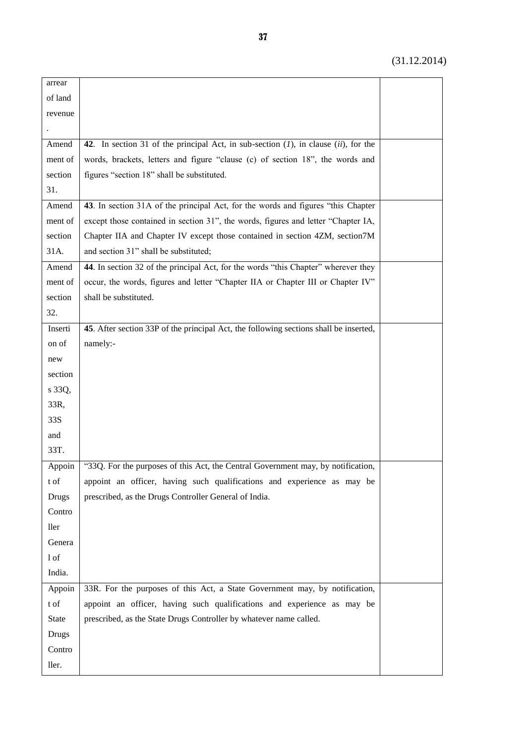| arrear       |                                                                                           |  |
|--------------|-------------------------------------------------------------------------------------------|--|
| of land      |                                                                                           |  |
| revenue      |                                                                                           |  |
|              |                                                                                           |  |
| Amend        | 42. In section 31 of the principal Act, in sub-section $(1)$ , in clause $(ii)$ , for the |  |
| ment of      | words, brackets, letters and figure "clause (c) of section 18", the words and             |  |
| section      | figures "section 18" shall be substituted.                                                |  |
| 31.          |                                                                                           |  |
| Amend        | 43. In section 31A of the principal Act, for the words and figures "this Chapter"         |  |
| ment of      | except those contained in section 31", the words, figures and letter "Chapter IA,         |  |
| section      | Chapter IIA and Chapter IV except those contained in section 4ZM, section7M               |  |
| 31A.         | and section 31" shall be substituted;                                                     |  |
| Amend        | 44. In section 32 of the principal Act, for the words "this Chapter" wherever they        |  |
| ment of      | occur, the words, figures and letter "Chapter IIA or Chapter III or Chapter IV"           |  |
| section      | shall be substituted.                                                                     |  |
| 32.          |                                                                                           |  |
| Inserti      | 45. After section 33P of the principal Act, the following sections shall be inserted,     |  |
| on of        | namely:-                                                                                  |  |
| new          |                                                                                           |  |
| section      |                                                                                           |  |
| s 33Q,       |                                                                                           |  |
| 33R,         |                                                                                           |  |
| 33S          |                                                                                           |  |
| and          |                                                                                           |  |
| 33T.         |                                                                                           |  |
| Appoin       | "33Q. For the purposes of this Act, the Central Government may, by notification,          |  |
| t of         | appoint an officer, having such qualifications and experience as may be                   |  |
| <b>Drugs</b> | prescribed, as the Drugs Controller General of India.                                     |  |
| Contro       |                                                                                           |  |
| ller         |                                                                                           |  |
| Genera       |                                                                                           |  |
| 1 of         |                                                                                           |  |
| India.       |                                                                                           |  |
| Appoin       | 33R. For the purposes of this Act, a State Government may, by notification,               |  |
| t of         | appoint an officer, having such qualifications and experience as may be                   |  |
| <b>State</b> | prescribed, as the State Drugs Controller by whatever name called.                        |  |
| <b>Drugs</b> |                                                                                           |  |
| Contro       |                                                                                           |  |
| ller.        |                                                                                           |  |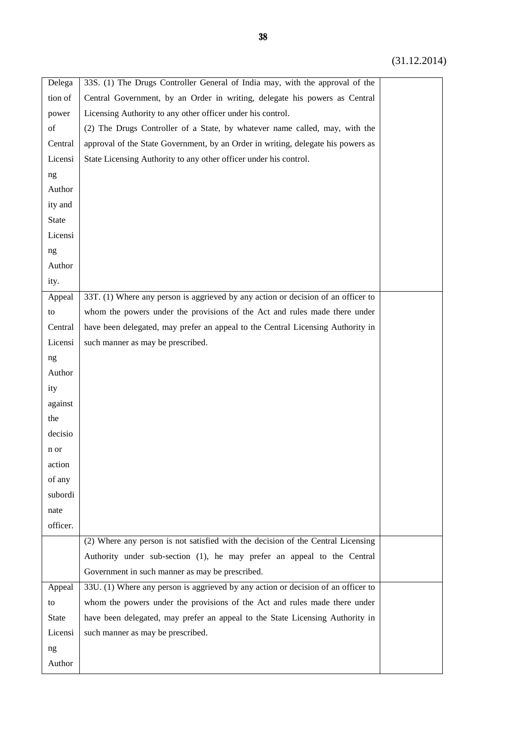| Delega       | 33S. (1) The Drugs Controller General of India may, with the approval of the      |  |
|--------------|-----------------------------------------------------------------------------------|--|
| tion of      | Central Government, by an Order in writing, delegate his powers as Central        |  |
| power        | Licensing Authority to any other officer under his control.                       |  |
| of           | (2) The Drugs Controller of a State, by whatever name called, may, with the       |  |
| Central      | approval of the State Government, by an Order in writing, delegate his powers as  |  |
| Licensi      | State Licensing Authority to any other officer under his control.                 |  |
| ng           |                                                                                   |  |
| Author       |                                                                                   |  |
| ity and      |                                                                                   |  |
| <b>State</b> |                                                                                   |  |
| Licensi      |                                                                                   |  |
| ng           |                                                                                   |  |
| Author       |                                                                                   |  |
| ity.         |                                                                                   |  |
| Appeal       | 33T. (1) Where any person is aggrieved by any action or decision of an officer to |  |
| to           | whom the powers under the provisions of the Act and rules made there under        |  |
| Central      | have been delegated, may prefer an appeal to the Central Licensing Authority in   |  |
| Licensi      | such manner as may be prescribed.                                                 |  |
| ng           |                                                                                   |  |
| Author       |                                                                                   |  |
| ity          |                                                                                   |  |
| against      |                                                                                   |  |
| the          |                                                                                   |  |
| decisio      |                                                                                   |  |
| n or         |                                                                                   |  |
| action       |                                                                                   |  |
| of any       |                                                                                   |  |
| subordi      |                                                                                   |  |
| nate         |                                                                                   |  |
| officer.     |                                                                                   |  |
|              | (2) Where any person is not satisfied with the decision of the Central Licensing  |  |
|              | Authority under sub-section (1), he may prefer an appeal to the Central           |  |
|              | Government in such manner as may be prescribed.                                   |  |
| Appeal       | 33U. (1) Where any person is aggrieved by any action or decision of an officer to |  |
| to           | whom the powers under the provisions of the Act and rules made there under        |  |
| <b>State</b> | have been delegated, may prefer an appeal to the State Licensing Authority in     |  |
| Licensi      | such manner as may be prescribed.                                                 |  |
| ng           |                                                                                   |  |
| Author       |                                                                                   |  |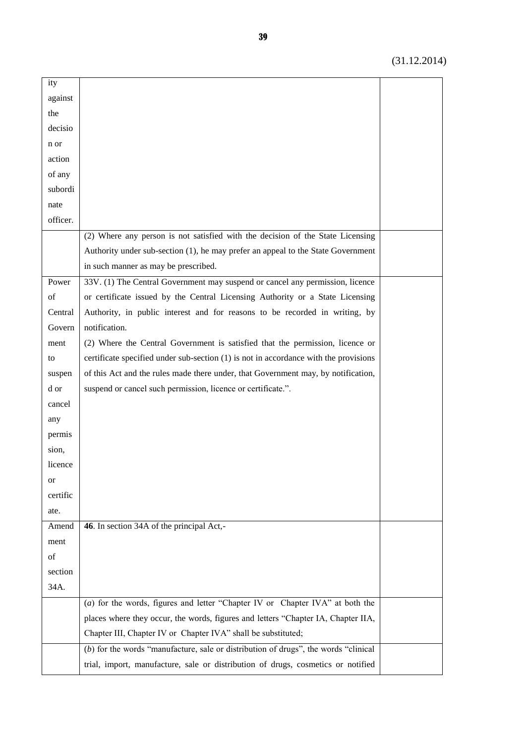| ity      |                                                                                       |  |
|----------|---------------------------------------------------------------------------------------|--|
| against  |                                                                                       |  |
| the      |                                                                                       |  |
| decisio  |                                                                                       |  |
| n or     |                                                                                       |  |
| action   |                                                                                       |  |
| of any   |                                                                                       |  |
| subordi  |                                                                                       |  |
| nate     |                                                                                       |  |
| officer. |                                                                                       |  |
|          | (2) Where any person is not satisfied with the decision of the State Licensing        |  |
|          | Authority under sub-section (1), he may prefer an appeal to the State Government      |  |
|          | in such manner as may be prescribed.                                                  |  |
| Power    | 33V. (1) The Central Government may suspend or cancel any permission, licence         |  |
| of       | or certificate issued by the Central Licensing Authority or a State Licensing         |  |
| Central  | Authority, in public interest and for reasons to be recorded in writing, by           |  |
| Govern   | notification.                                                                         |  |
| ment     | (2) Where the Central Government is satisfied that the permission, licence or         |  |
| to       | certificate specified under sub-section (1) is not in accordance with the provisions  |  |
| suspen   | of this Act and the rules made there under, that Government may, by notification,     |  |
| d or     | suspend or cancel such permission, licence or certificate.".                          |  |
| cancel   |                                                                                       |  |
| any      |                                                                                       |  |
| permis   |                                                                                       |  |
| sion,    |                                                                                       |  |
| licence  |                                                                                       |  |
| or       |                                                                                       |  |
| certific |                                                                                       |  |
| ate.     |                                                                                       |  |
| Amend    | 46. In section 34A of the principal Act,-                                             |  |
| ment     |                                                                                       |  |
| of       |                                                                                       |  |
| section  |                                                                                       |  |
| 34A.     |                                                                                       |  |
|          | (a) for the words, figures and letter "Chapter IV or Chapter IVA" at both the         |  |
|          | places where they occur, the words, figures and letters "Chapter IA, Chapter IIA,     |  |
|          | Chapter III, Chapter IV or Chapter IVA" shall be substituted;                         |  |
|          | $(b)$ for the words "manufacture, sale or distribution of drugs", the words "clinical |  |
|          | trial, import, manufacture, sale or distribution of drugs, cosmetics or notified      |  |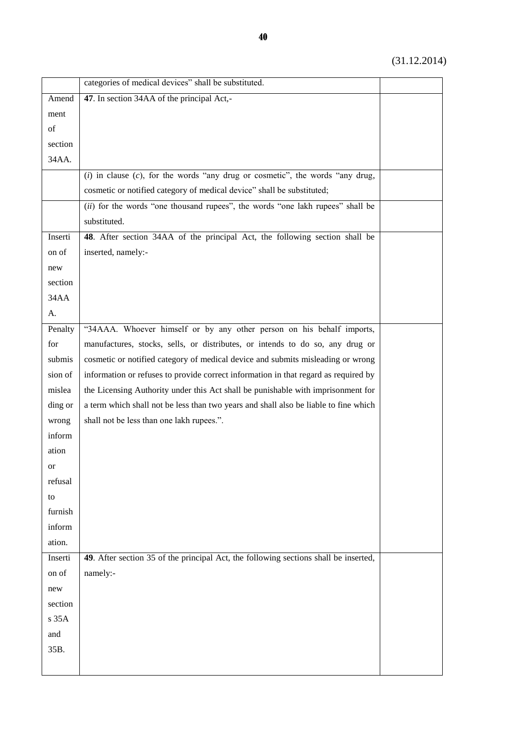|         | categories of medical devices" shall be substituted.                                 |  |
|---------|--------------------------------------------------------------------------------------|--|
| Amend   | 47. In section 34AA of the principal Act,-                                           |  |
| ment    |                                                                                      |  |
| of      |                                                                                      |  |
| section |                                                                                      |  |
| 34AA.   |                                                                                      |  |
|         | $(i)$ in clause $(c)$ , for the words "any drug or cosmetic", the words "any drug,   |  |
|         | cosmetic or notified category of medical device" shall be substituted;               |  |
|         | (ii) for the words "one thousand rupees", the words "one lakh rupees" shall be       |  |
|         | substituted.                                                                         |  |
| Inserti | 48. After section 34AA of the principal Act, the following section shall be          |  |
| on of   | inserted, namely:-                                                                   |  |
| new     |                                                                                      |  |
| section |                                                                                      |  |
| 34AA    |                                                                                      |  |
| A.      |                                                                                      |  |
| Penalty | "34AAA. Whoever himself or by any other person on his behalf imports,                |  |
| for     | manufactures, stocks, sells, or distributes, or intends to do so, any drug or        |  |
| submis  | cosmetic or notified category of medical device and submits misleading or wrong      |  |
| sion of | information or refuses to provide correct information in that regard as required by  |  |
| mislea  | the Licensing Authority under this Act shall be punishable with imprisonment for     |  |
| ding or | a term which shall not be less than two years and shall also be liable to fine which |  |
| wrong   | shall not be less than one lakh rupees.".                                            |  |
| inform  |                                                                                      |  |
| ation   |                                                                                      |  |
| or      |                                                                                      |  |
| refusal |                                                                                      |  |
| to      |                                                                                      |  |
| furnish |                                                                                      |  |
| inform  |                                                                                      |  |
| ation.  |                                                                                      |  |
| Inserti | 49. After section 35 of the principal Act, the following sections shall be inserted, |  |
| on of   | namely:-                                                                             |  |
| new     |                                                                                      |  |
| section |                                                                                      |  |
| s 35A   |                                                                                      |  |
| and     |                                                                                      |  |
| 35B.    |                                                                                      |  |
|         |                                                                                      |  |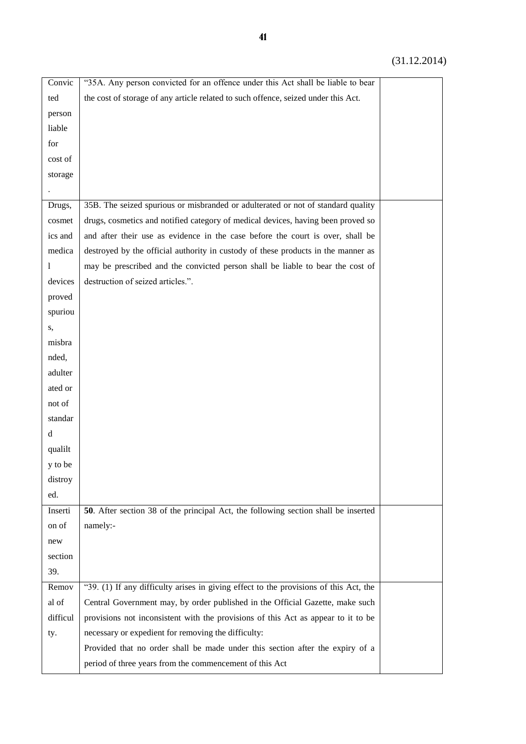| Convic   | "35A. Any person convicted for an offence under this Act shall be liable to bear      |  |
|----------|---------------------------------------------------------------------------------------|--|
| ted      | the cost of storage of any article related to such offence, seized under this Act.    |  |
| person   |                                                                                       |  |
| liable   |                                                                                       |  |
| for      |                                                                                       |  |
| cost of  |                                                                                       |  |
| storage  |                                                                                       |  |
|          |                                                                                       |  |
| Drugs,   | 35B. The seized spurious or misbranded or adulterated or not of standard quality      |  |
| cosmet   | drugs, cosmetics and notified category of medical devices, having been proved so      |  |
| ics and  | and after their use as evidence in the case before the court is over, shall be        |  |
| medica   | destroyed by the official authority in custody of these products in the manner as     |  |
| 1        | may be prescribed and the convicted person shall be liable to bear the cost of        |  |
| devices  | destruction of seized articles.".                                                     |  |
| proved   |                                                                                       |  |
| spuriou  |                                                                                       |  |
| S,       |                                                                                       |  |
| misbra   |                                                                                       |  |
| nded,    |                                                                                       |  |
| adulter  |                                                                                       |  |
| ated or  |                                                                                       |  |
| not of   |                                                                                       |  |
| standar  |                                                                                       |  |
| d        |                                                                                       |  |
| qualilt  |                                                                                       |  |
| y to be  |                                                                                       |  |
| distroy  |                                                                                       |  |
| ed.      |                                                                                       |  |
| Inserti  | 50. After section 38 of the principal Act, the following section shall be inserted    |  |
| on of    | namely:-                                                                              |  |
| new      |                                                                                       |  |
| section  |                                                                                       |  |
| 39.      |                                                                                       |  |
| Remov    | "39. (1) If any difficulty arises in giving effect to the provisions of this Act, the |  |
| al of    | Central Government may, by order published in the Official Gazette, make such         |  |
| difficul | provisions not inconsistent with the provisions of this Act as appear to it to be     |  |
| ty.      | necessary or expedient for removing the difficulty:                                   |  |
|          | Provided that no order shall be made under this section after the expiry of a         |  |
|          | period of three years from the commencement of this Act                               |  |